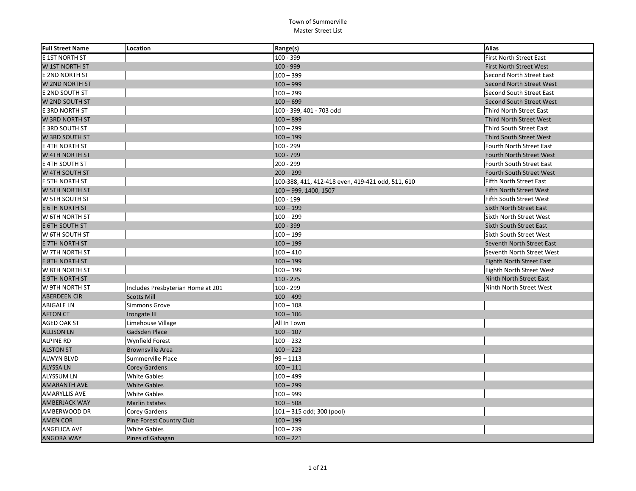| <b>Full Street Name</b> | Location                          | Range(s)                                          | <b>Alias</b>                    |
|-------------------------|-----------------------------------|---------------------------------------------------|---------------------------------|
| E 1ST NORTH ST          |                                   | 100 - 399                                         | <b>First North Street East</b>  |
| W 1ST NORTH ST          |                                   | $100 - 999$                                       | <b>First North Street West</b>  |
| E 2ND NORTH ST          |                                   | $100 - 399$                                       | Second North Street East        |
| W 2ND NORTH ST          |                                   | $100 - 999$                                       | Second North Street West        |
| E 2ND SOUTH ST          |                                   | $100 - 299$                                       | Second South Street East        |
| W 2ND SOUTH ST          |                                   | $100 - 699$                                       | Second South Street West        |
| E 3RD NORTH ST          |                                   | 100 - 399, 401 - 703 odd                          | Third North Street East         |
| W 3RD NORTH ST          |                                   | $100 - 899$                                       | Third North Street West         |
| E 3RD SOUTH ST          |                                   | $100 - 299$                                       | Third South Street East         |
| W 3RD SOUTH ST          |                                   | $100 - 199$                                       | Third South Street West         |
| E 4TH NORTH ST          |                                   | 100 - 299                                         | Fourth North Street East        |
| W 4TH NORTH ST          |                                   | $100 - 799$                                       | Fourth North Street West        |
| E 4TH SOUTH ST          |                                   | 200 - 299                                         | Fourth South Street East        |
| W 4TH SOUTH ST          |                                   | $200 - 299$                                       | Fourth South Street West        |
| E 5TH NORTH ST          |                                   | 100-388, 411, 412-418 even, 419-421 odd, 511, 610 | Fifth North Street East         |
| W 5TH NORTH ST          |                                   | 100 - 999, 1400, 1507                             | Fifth North Street West         |
| W 5TH SOUTH ST          |                                   | 100 - 199                                         | Fifth South Street West         |
| E 6TH NORTH ST          |                                   | $100 - 199$                                       | <b>Sixth North Street East</b>  |
| W 6TH NORTH ST          |                                   | $100 - 299$                                       | <b>Sixth North Street West</b>  |
| E 6TH SOUTH ST          |                                   | $100 - 399$                                       | Sixth South Street East         |
| W 6TH SOUTH ST          |                                   | $100 - 199$                                       | Sixth South Street West         |
| E 7TH NORTH ST          |                                   | $100 - 199$                                       | Seventh North Street East       |
| W 7TH NORTH ST          |                                   | $100 - 410$                                       | Seventh North Street West       |
| E 8TH NORTH ST          |                                   | $100 - 199$                                       | <b>Eighth North Street East</b> |
| W 8TH NORTH ST          |                                   | $100 - 199$                                       | Eighth North Street West        |
| E 9TH NORTH ST          |                                   | $110 - 275$                                       | Ninth North Street East         |
| W 9TH NORTH ST          | Includes Presbyterian Home at 201 | 100 - 299                                         | Ninth North Street West         |
| <b>ABERDEEN CIR</b>     | <b>Scotts Mill</b>                | $100 - 499$                                       |                                 |
| <b>ABIGALE LN</b>       | Simmons Grove                     | $100 - 108$                                       |                                 |
| <b>AFTON CT</b>         | Irongate III                      | $100 - 106$                                       |                                 |
| AGED OAK ST             | Limehouse Village                 | All In Town                                       |                                 |
| <b>ALLISON LN</b>       | <b>Gadsden Place</b>              | $100 - 107$                                       |                                 |
| <b>ALPINE RD</b>        | Wynfield Forest                   | $100 - 232$                                       |                                 |
| <b>ALSTON ST</b>        | <b>Brownsville Area</b>           | $100 - 223$                                       |                                 |
| ALWYN BLVD              | Summerville Place                 | $99 - 1113$                                       |                                 |
| <b>ALYSSA LN</b>        | <b>Corey Gardens</b>              | $100 - 111$                                       |                                 |
| <b>ALYSSUM LN</b>       | <b>White Gables</b>               | $100 - 499$                                       |                                 |
| <b>AMARANTH AVE</b>     | <b>White Gables</b>               | $100 - 299$                                       |                                 |
| AMARYLLIS AVE           | <b>White Gables</b>               | $100 - 999$                                       |                                 |
| <b>AMBERJACK WAY</b>    | <b>Marlin Estates</b>             | $100 - 508$                                       |                                 |
| AMBERWOOD DR            | Corey Gardens                     | 101 - 315 odd; 300 (pool)                         |                                 |
| <b>AMEN COR</b>         | Pine Forest Country Club          | $100 - 199$                                       |                                 |
| ANGELICA AVE            | <b>White Gables</b>               | $100 - 239$                                       |                                 |
| <b>ANGORA WAY</b>       | Pines of Gahagan                  | $100 - 221$                                       |                                 |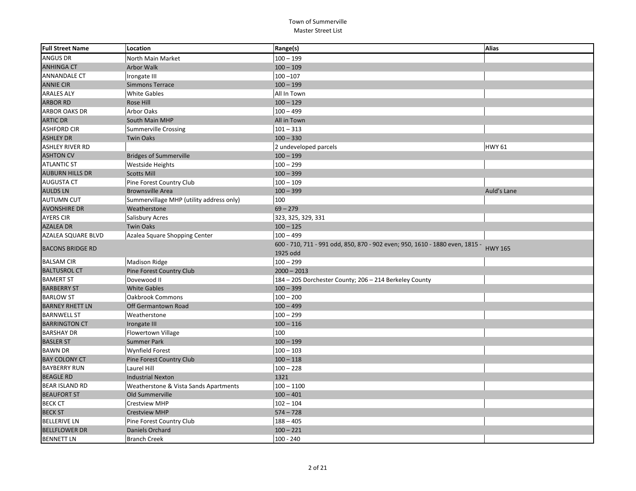| <b>Full Street Name</b> | Location                                 | Range(s)                                                                     | <b>Alias</b>   |
|-------------------------|------------------------------------------|------------------------------------------------------------------------------|----------------|
| <b>ANGUS DR</b>         | North Main Market                        | $100 - 199$                                                                  |                |
| <b>ANHINGA CT</b>       | Arbor Walk                               | $100 - 109$                                                                  |                |
| ANNANDALE CT            | Irongate III                             | $100 - 107$                                                                  |                |
| <b>ANNIE CIR</b>        | Simmons Terrace                          | $100 - 199$                                                                  |                |
| <b>ARALES ALY</b>       | <b>White Gables</b>                      | All In Town                                                                  |                |
| <b>ARBOR RD</b>         | Rose Hill                                | $100 - 129$                                                                  |                |
| ARBOR OAKS DR           | <b>Arbor Oaks</b>                        | $100 - 499$                                                                  |                |
| <b>ARTIC DR</b>         | South Main MHP                           | All in Town                                                                  |                |
| <b>ASHFORD CIR</b>      | <b>Summerville Crossing</b>              | $101 - 313$                                                                  |                |
| <b>ASHLEY DR</b>        | <b>Twin Oaks</b>                         | $100 - 330$                                                                  |                |
| <b>ASHLEY RIVER RD</b>  |                                          | 2 undeveloped parcels                                                        | <b>HWY 61</b>  |
| <b>ASHTON CV</b>        | <b>Bridges of Summerville</b>            | $100 - 199$                                                                  |                |
| <b>ATLANTIC ST</b>      | <b>Westside Heights</b>                  | $100 - 299$                                                                  |                |
| <b>AUBURN HILLS DR</b>  | <b>Scotts Mill</b>                       | $100 - 399$                                                                  |                |
| <b>AUGUSTA CT</b>       | Pine Forest Country Club                 | $100 - 109$                                                                  |                |
| <b>AULDS LN</b>         | <b>Brownsville Area</b>                  | $100 - 399$                                                                  | Auld's Lane    |
| <b>AUTUMN CUT</b>       | Summervillage MHP (utility address only) | 100                                                                          |                |
| <b>AVONSHIRE DR</b>     | Weatherstone                             | $69 - 279$                                                                   |                |
| <b>AYERS CIR</b>        | Salisbury Acres                          | 323, 325, 329, 331                                                           |                |
| <b>AZALEA DR</b>        | <b>Twin Oaks</b>                         | $100 - 125$                                                                  |                |
| AZALEA SQUARE BLVD      | Azalea Square Shopping Center            | $100 - 499$                                                                  |                |
| <b>BACONS BRIDGE RD</b> |                                          | 600 - 710, 711 - 991 odd, 850, 870 - 902 even; 950, 1610 - 1880 even, 1815 - | <b>HWY 165</b> |
|                         |                                          | 1925 odd                                                                     |                |
| <b>BALSAM CIR</b>       | Madison Ridge                            | $100 - 299$                                                                  |                |
| <b>BALTUSROL CT</b>     | Pine Forest Country Club                 | $2000 - 2013$                                                                |                |
| <b>BAMERT ST</b>        | Dovewood II                              | 184 - 205 Dorchester County; 206 - 214 Berkeley County                       |                |
| <b>BARBERRY ST</b>      | <b>White Gables</b>                      | $100 - 399$                                                                  |                |
| <b>BARLOW ST</b>        | <b>Oakbrook Commons</b>                  | $100 - 200$                                                                  |                |
| <b>BARNEY RHETT LN</b>  | Off Germantown Road                      | $100 - 499$                                                                  |                |
| <b>BARNWELL ST</b>      | Weatherstone                             | $100 - 299$                                                                  |                |
| <b>BARRINGTON CT</b>    | Irongate III                             | $100 - 116$                                                                  |                |
| <b>BARSHAY DR</b>       | Flowertown Village                       | 100                                                                          |                |
| <b>BASLER ST</b>        | <b>Summer Park</b>                       | $100 - 199$                                                                  |                |
| <b>BAWN DR</b>          | <b>Wynfield Forest</b>                   | $100 - 103$                                                                  |                |
| <b>BAY COLONY CT</b>    | Pine Forest Country Club                 | $100 - 118$                                                                  |                |
| <b>BAYBERRY RUN</b>     | Laurel Hill                              | $100 - 228$                                                                  |                |
| <b>BEAGLE RD</b>        | <b>Industrial Nexton</b>                 | 1321                                                                         |                |
| <b>BEAR ISLAND RD</b>   | Weatherstone & Vista Sands Apartments    | $100 - 1100$                                                                 |                |
| <b>BEAUFORT ST</b>      | Old Summerville                          | $100 - 401$                                                                  |                |
| <b>BECK CT</b>          | <b>Crestview MHP</b>                     | $102 - 104$                                                                  |                |
| <b>BECK ST</b>          | <b>Crestview MHP</b>                     | $574 - 728$                                                                  |                |
| <b>BELLERIVE LN</b>     | Pine Forest Country Club                 | $188 - 405$                                                                  |                |
| <b>BELLFLOWER DR</b>    | Daniels Orchard                          | $100 - 221$                                                                  |                |
| <b>BENNETT LN</b>       | <b>Branch Creek</b>                      | $100 - 240$                                                                  |                |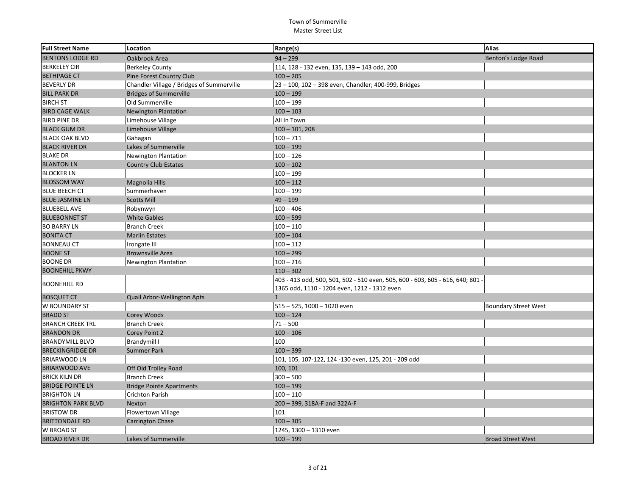| <b>Full Street Name</b>   | Location                                  | Range(s)                                                                       | <b>Alias</b>                |
|---------------------------|-------------------------------------------|--------------------------------------------------------------------------------|-----------------------------|
| <b>BENTONS LODGE RD</b>   | Oakbrook Area                             | $94 - 299$                                                                     | Benton's Lodge Road         |
| <b>BERKELEY CIR</b>       | <b>Berkeley County</b>                    | 114, 128 - 132 even, 135, 139 - 143 odd, 200                                   |                             |
| <b>BETHPAGE CT</b>        | Pine Forest Country Club                  | $100 - 205$                                                                    |                             |
| <b>BEVERLY DR</b>         | Chandler Village / Bridges of Summerville | 23 - 100, 102 - 398 even, Chandler; 400-999, Bridges                           |                             |
| <b>BILL PARK DR</b>       | <b>Bridges of Summerville</b>             | $100 - 199$                                                                    |                             |
| <b>BIRCH ST</b>           | Old Summerville                           | $100 - 199$                                                                    |                             |
| <b>BIRD CAGE WALK</b>     | <b>Newington Plantation</b>               | $100 - 103$                                                                    |                             |
| <b>BIRD PINE DR</b>       | Limehouse Village                         | All In Town                                                                    |                             |
| <b>BLACK GUM DR</b>       | Limehouse Village                         | $100 - 101, 208$                                                               |                             |
| <b>BLACK OAK BLVD</b>     | Gahagan                                   | $100 - 711$                                                                    |                             |
| <b>BLACK RIVER DR</b>     | Lakes of Summerville                      | $100 - 199$                                                                    |                             |
| <b>BLAKE DR</b>           | <b>Newington Plantation</b>               | $100 - 126$                                                                    |                             |
| <b>BLANTON LN</b>         | <b>Country Club Estates</b>               | $100 - 102$                                                                    |                             |
| <b>BLOCKER LN</b>         |                                           | $100 - 199$                                                                    |                             |
| <b>BLOSSOM WAY</b>        | <b>Magnolia Hills</b>                     | $100 - 112$                                                                    |                             |
| <b>BLUE BEECH CT</b>      | Summerhaven                               | $100 - 199$                                                                    |                             |
| <b>BLUE JASMINE LN</b>    | <b>Scotts Mill</b>                        | $49 - 199$                                                                     |                             |
| <b>BLUEBELL AVE</b>       | Robynwyn                                  | $100 - 406$                                                                    |                             |
| <b>BLUEBONNET ST</b>      | <b>White Gables</b>                       | $100 - 599$                                                                    |                             |
| <b>BO BARRY LN</b>        | Branch Creek                              | $100 - 110$                                                                    |                             |
| <b>BONITA CT</b>          | <b>Marlin Estates</b>                     | $100 - 104$                                                                    |                             |
| <b>BONNEAU CT</b>         | Irongate III                              | $100 - 112$                                                                    |                             |
| <b>BOONE ST</b>           | <b>Brownsville Area</b>                   | $100 - 299$                                                                    |                             |
| <b>BOONE DR</b>           | <b>Newington Plantation</b>               | $100 - 216$                                                                    |                             |
| <b>BOONEHILL PKWY</b>     |                                           | $110 - 302$                                                                    |                             |
| <b>BOONEHILL RD</b>       |                                           | 403 - 413 odd, 500, 501, 502 - 510 even, 505, 600 - 603, 605 - 616, 640; 801 - |                             |
|                           |                                           | 1365 odd, 1110 - 1204 even, 1212 - 1312 even                                   |                             |
| <b>BOSQUET CT</b>         | Quail Arbor-Wellington Apts               | $\mathbf{1}$                                                                   |                             |
| W BOUNDARY ST             |                                           | 515 - 525, 1000 - 1020 even                                                    | <b>Boundary Street West</b> |
| <b>BRADD ST</b>           | Corey Woods                               | $100 - 124$                                                                    |                             |
| <b>BRANCH CREEK TRL</b>   | Branch Creek                              | $71 - 500$                                                                     |                             |
| <b>BRANDON DR</b>         | Corey Point 2                             | $100 - 106$                                                                    |                             |
| <b>BRANDYMILL BLVD</b>    | Brandymill I                              | 100                                                                            |                             |
| <b>BRECKINGRIDGE DR</b>   | <b>Summer Park</b>                        | $100 - 399$                                                                    |                             |
| <b>BRIARWOOD LN</b>       |                                           | 101, 105, 107-122, 124 -130 even, 125, 201 - 209 odd                           |                             |
| <b>BRIARWOOD AVE</b>      | Off Old Trolley Road                      | 100, 101                                                                       |                             |
| <b>BRICK KILN DR</b>      | Branch Creek                              | $300 - 500$                                                                    |                             |
| <b>BRIDGE POINTE LN</b>   | <b>Bridge Pointe Apartments</b>           | $100 - 199$                                                                    |                             |
| <b>BRIGHTON LN</b>        | Crichton Parish                           | $100 - 110$                                                                    |                             |
| <b>BRIGHTON PARK BLVD</b> | Nexton                                    | 200 - 399, 318A-F and 322A-F                                                   |                             |
| <b>BRISTOW DR</b>         | Flowertown Village                        | 101                                                                            |                             |
| <b>BRITTONDALE RD</b>     | <b>Carrington Chase</b>                   | $100 - 305$                                                                    |                             |
| <b>W BROAD ST</b>         |                                           | 1245, 1300 - 1310 even                                                         |                             |
| <b>BROAD RIVER DR</b>     | Lakes of Summerville                      | $100 - 199$                                                                    | <b>Broad Street West</b>    |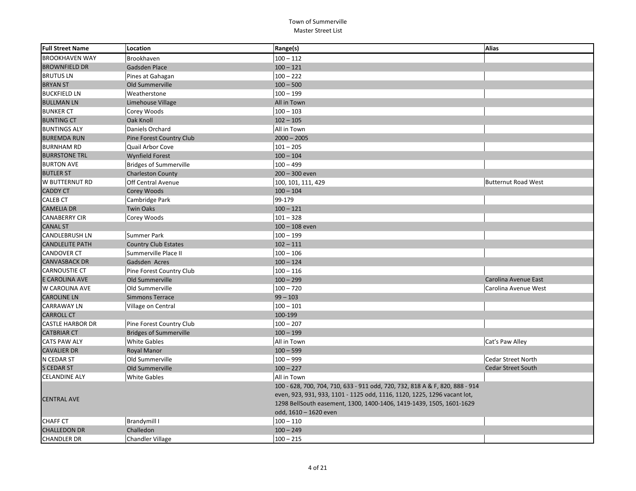| <b>Full Street Name</b> | Location                        | Range(s)                                                                     | Alias                     |
|-------------------------|---------------------------------|------------------------------------------------------------------------------|---------------------------|
| <b>BROOKHAVEN WAY</b>   | Brookhaven                      | $100 - 112$                                                                  |                           |
| <b>BROWNFIELD DR</b>    | Gadsden Place                   | $100 - 121$                                                                  |                           |
| <b>BRUTUS LN</b>        | Pines at Gahagan                | $100 - 222$                                                                  |                           |
| <b>BRYAN ST</b>         | Old Summerville                 | $100 - 500$                                                                  |                           |
| <b>BUCKFIELD LN</b>     | Weatherstone                    | $100 - 199$                                                                  |                           |
| <b>BULLMAN LN</b>       | Limehouse Village               | All in Town                                                                  |                           |
| <b>BUNKER CT</b>        | Corey Woods                     | $100 - 103$                                                                  |                           |
| <b>BUNTING CT</b>       | Oak Knoll                       | $102 - 105$                                                                  |                           |
| <b>BUNTINGS ALY</b>     | Daniels Orchard                 | All in Town                                                                  |                           |
| <b>BUREMDA RUN</b>      | <b>Pine Forest Country Club</b> | $2000 - 2005$                                                                |                           |
| <b>BURNHAM RD</b>       | Quail Arbor Cove                | $101 - 205$                                                                  |                           |
| <b>BURRSTONE TRL</b>    | <b>Wynfield Forest</b>          | $100 - 104$                                                                  |                           |
| <b>BURTON AVE</b>       | <b>Bridges of Summerville</b>   | $100 - 499$                                                                  |                           |
| <b>BUTLER ST</b>        | <b>Charleston County</b>        | $200 - 300$ even                                                             |                           |
| W BUTTERNUT RD          | Off Central Avenue              | 100, 101, 111, 429                                                           | Butternut Road West       |
| <b>CADDY CT</b>         | Corey Woods                     | $100 - 104$                                                                  |                           |
| <b>CALEB CT</b>         | Cambridge Park                  | 99-179                                                                       |                           |
| <b>CAMELIA DR</b>       | <b>Twin Oaks</b>                | $100 - 121$                                                                  |                           |
| <b>CANABERRY CIR</b>    | Corey Woods                     | $101 - 328$                                                                  |                           |
| <b>CANAL ST</b>         |                                 | $100 - 108$ even                                                             |                           |
| <b>CANDLEBRUSH LN</b>   | Summer Park                     | $100 - 199$                                                                  |                           |
| <b>CANDLELITE PATH</b>  | <b>Country Club Estates</b>     | $102 - 111$                                                                  |                           |
| <b>CANDOVER CT</b>      | Summerville Place II            | $100 - 106$                                                                  |                           |
| <b>CANVASBACK DR</b>    | Gadsden Acres                   | $100 - 124$                                                                  |                           |
| <b>CARNOUSTIE CT</b>    | Pine Forest Country Club        | $100 - 116$                                                                  |                           |
| E CAROLINA AVE          | Old Summerville                 | $100 - 299$                                                                  | Carolina Avenue East      |
| W CAROLINA AVE          | Old Summerville                 | $100 - 720$                                                                  | Carolina Avenue West      |
| <b>CAROLINE LN</b>      | <b>Simmons Terrace</b>          | $99 - 103$                                                                   |                           |
| <b>CARRAWAY LN</b>      | Village on Central              | $100 - 101$                                                                  |                           |
| <b>CARROLL CT</b>       |                                 | 100-199                                                                      |                           |
| <b>CASTLE HARBOR DR</b> | Pine Forest Country Club        | $100 - 207$                                                                  |                           |
| <b>CATBRIAR CT</b>      | <b>Bridges of Summerville</b>   | $100 - 199$                                                                  |                           |
| <b>CATS PAW ALY</b>     | <b>White Gables</b>             | All in Town                                                                  | Cat's Paw Alley           |
| <b>CAVALIER DR</b>      | Royal Manor                     | $100 - 599$                                                                  |                           |
| N CEDAR ST              | Old Summerville                 | $100 - 999$                                                                  | Cedar Street North        |
| <b>S CEDAR ST</b>       | Old Summerville                 | $100 - 227$                                                                  | <b>Cedar Street South</b> |
| <b>CELANDINE ALY</b>    | <b>White Gables</b>             | All in Town                                                                  |                           |
|                         |                                 | 100 - 628, 700, 704, 710, 633 - 911 odd, 720, 732, 818 A & F, 820, 888 - 914 |                           |
| <b>CENTRAL AVE</b>      |                                 | even, 923, 931, 933, 1101 - 1125 odd, 1116, 1120, 1225, 1296 vacant lot,     |                           |
|                         |                                 | 1298 BellSouth easement, 1300, 1400-1406, 1419-1439, 1505, 1601-1629         |                           |
|                         |                                 | odd, 1610 - 1620 even                                                        |                           |
| <b>CHAFF CT</b>         | Brandymill I                    | $100 - 110$                                                                  |                           |
| <b>CHALLEDON DR</b>     | Challedon                       | $100 - 249$                                                                  |                           |
| <b>CHANDLER DR</b>      | Chandler Village                | $100 - 215$                                                                  |                           |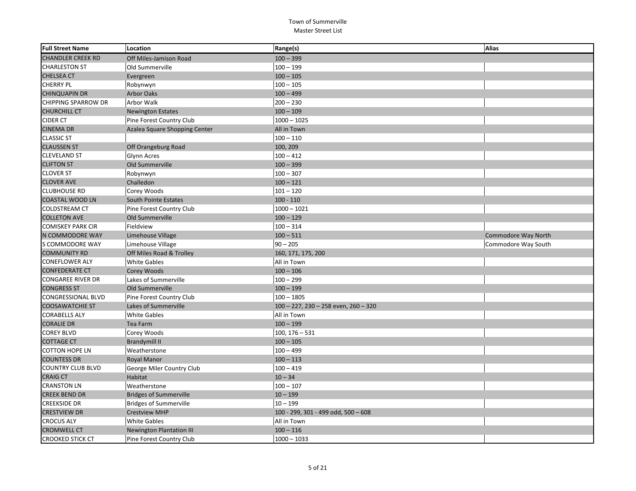| <b>Full Street Name</b>    | Location                        | Range(s)                             | Alias               |
|----------------------------|---------------------------------|--------------------------------------|---------------------|
| <b>CHANDLER CREEK RD</b>   | Off Miles-Jamison Road          | $100 - 399$                          |                     |
| <b>CHARLESTON ST</b>       | Old Summerville                 | $100 - 199$                          |                     |
| <b>CHELSEA CT</b>          | Evergreen                       | $100 - 105$                          |                     |
| <b>CHERRY PL</b>           | Robynwyn                        | $100 - 105$                          |                     |
| <b>CHINQUAPIN DR</b>       | <b>Arbor Oaks</b>               | $100 - 499$                          |                     |
| <b>CHIPPING SPARROW DR</b> | Arbor Walk                      | $ 200 - 230$                         |                     |
| <b>CHURCHILL CT</b>        | <b>Newington Estates</b>        | $100 - 109$                          |                     |
| <b>CIDER CT</b>            | Pine Forest Country Club        | $1000 - 1025$                        |                     |
| <b>CINEMA DR</b>           | Azalea Square Shopping Center   | All in Town                          |                     |
| <b>CLASSIC ST</b>          |                                 | $100 - 110$                          |                     |
| <b>CLAUSSEN ST</b>         | Off Orangeburg Road             | 100, 209                             |                     |
| <b>CLEVELAND ST</b>        | Glynn Acres                     | $100 - 412$                          |                     |
| <b>CLIFTON ST</b>          | Old Summerville                 | $100 - 399$                          |                     |
| <b>CLOVER ST</b>           | Robynwyn                        | $100 - 307$                          |                     |
| <b>CLOVER AVE</b>          | Challedon                       | $100 - 121$                          |                     |
| <b>CLUBHOUSE RD</b>        | Corey Woods                     | $101 - 120$                          |                     |
| <b>COASTAL WOOD LN</b>     | South Pointe Estates            | $100 - 110$                          |                     |
| <b>COLDSTREAM CT</b>       | Pine Forest Country Club        | $1000 - 1021$                        |                     |
| <b>COLLETON AVE</b>        | Old Summerville                 | $100 - 129$                          |                     |
| <b>COMISKEY PARK CIR</b>   | Fieldview                       | $100 - 314$                          |                     |
| N COMMODORE WAY            | Limehouse Village               | $100 - 511$                          | Commodore Way North |
| S COMMODORE WAY            | Limehouse Village               | $90 - 205$                           | Commodore Way South |
| <b>COMMUNITY RD</b>        | Off Miles Road & Trolley        | 160, 171, 175, 200                   |                     |
| <b>CONEFLOWER ALY</b>      | <b>White Gables</b>             | All in Town                          |                     |
| <b>CONFEDERATE CT</b>      | Corey Woods                     | $100 - 106$                          |                     |
| <b>CONGAREE RIVER DR</b>   | Lakes of Summerville            | $100 - 299$                          |                     |
| <b>CONGRESS ST</b>         | Old Summerville                 | $100 - 199$                          |                     |
| CONGRESSIONAL BLVD         | Pine Forest Country Club        | $100 - 1805$                         |                     |
| <b>COOSAWATCHIE ST</b>     | Lakes of Summerville            | 100 - 227, 230 - 258 even, 260 - 320 |                     |
| <b>CORABELLS ALY</b>       | <b>White Gables</b>             | All in Town                          |                     |
| <b>CORALIE DR</b>          | Tea Farm                        | $100 - 199$                          |                     |
| <b>COREY BLVD</b>          | Corey Woods                     | $100, 176 - 531$                     |                     |
| <b>COTTAGE CT</b>          | <b>Brandymill II</b>            | $100 - 105$                          |                     |
| <b>COTTON HOPE LN</b>      | Weatherstone                    | $100 - 499$                          |                     |
| <b>COUNTESS DR</b>         | <b>Royal Manor</b>              | $100 - 113$                          |                     |
| <b>COUNTRY CLUB BLVD</b>   | George Miler Country Club       | $100 - 419$                          |                     |
| <b>CRAIG CT</b>            | Habitat                         | $10 - 34$                            |                     |
| <b>CRANSTON LN</b>         | Weatherstone                    | $100 - 107$                          |                     |
| <b>CREEK BEND DR</b>       | <b>Bridges of Summerville</b>   | $10 - 199$                           |                     |
| <b>CREEKSIDE DR</b>        | <b>Bridges of Summerville</b>   | $10 - 199$                           |                     |
| <b>CRESTVIEW DR</b>        | <b>Crestview MHP</b>            | 100 - 299, 301 - 499 odd, 500 - 608  |                     |
| <b>CROCUS ALY</b>          | <b>White Gables</b>             | All in Town                          |                     |
| <b>CROMWELL CT</b>         | <b>Newington Plantation III</b> | $100 - 116$                          |                     |
| <b>CROOKED STICK CT</b>    | Pine Forest Country Club        | $1000 - 1033$                        |                     |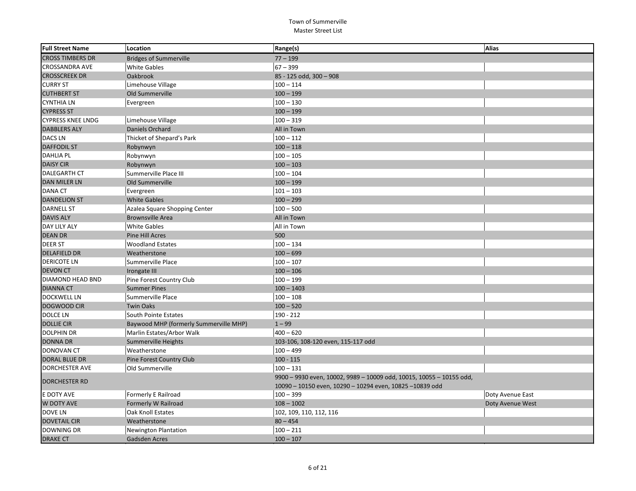| <b>Full Street Name</b>  | Location                               | Range(s)                                                             | Alias            |
|--------------------------|----------------------------------------|----------------------------------------------------------------------|------------------|
| <b>CROSS TIMBERS DR</b>  | <b>Bridges of Summerville</b>          | $77 - 199$                                                           |                  |
| <b>CROSSANDRA AVE</b>    | <b>White Gables</b>                    | $67 - 399$                                                           |                  |
| <b>CROSSCREEK DR</b>     | Oakbrook                               | 85 - 125 odd, 300 - 908                                              |                  |
| <b>CURRY ST</b>          | Limehouse Village                      | $100 - 114$                                                          |                  |
| <b>CUTHBERT ST</b>       | Old Summerville                        | $100 - 199$                                                          |                  |
| <b>CYNTHIA LN</b>        | Evergreen                              | $100 - 130$                                                          |                  |
| <b>CYPRESS ST</b>        |                                        | $100 - 199$                                                          |                  |
| <b>CYPRESS KNEE LNDG</b> | Limehouse Village                      | $100 - 319$                                                          |                  |
| <b>DABBLERS ALY</b>      | Daniels Orchard                        | All in Town                                                          |                  |
| DACS LN                  | Thicket of Shepard's Park              | $100 - 112$                                                          |                  |
| <b>DAFFODIL ST</b>       | Robynwyn                               | $100 - 118$                                                          |                  |
| <b>DAHLIA PL</b>         | Robynwyn                               | $100 - 105$                                                          |                  |
| <b>DAISY CIR</b>         | Robynwyn                               | $100 - 103$                                                          |                  |
| <b>DALEGARTH CT</b>      | Summerville Place III                  | $100 - 104$                                                          |                  |
| <b>DAN MILER LN</b>      | Old Summerville                        | $100 - 199$                                                          |                  |
| DANA CT                  | Evergreen                              | $101 - 103$                                                          |                  |
| <b>DANDELION ST</b>      | <b>White Gables</b>                    | $100 - 299$                                                          |                  |
| <b>DARNELL ST</b>        | Azalea Square Shopping Center          | $100 - 500$                                                          |                  |
| <b>DAVIS ALY</b>         | <b>Brownsville Area</b>                | All in Town                                                          |                  |
| DAY LILY ALY             | <b>White Gables</b>                    | All in Town                                                          |                  |
| <b>DEAN DR</b>           | <b>Pine Hill Acres</b>                 | 500                                                                  |                  |
| <b>DEER ST</b>           | <b>Woodland Estates</b>                | $100 - 134$                                                          |                  |
| <b>DELAFIELD DR</b>      | Weatherstone                           | $100 - 699$                                                          |                  |
| <b>DERICOTE LN</b>       | Summerville Place                      | $100 - 107$                                                          |                  |
| <b>DEVON CT</b>          | Irongate III                           | $100 - 106$                                                          |                  |
| DIAMOND HEAD BND         | Pine Forest Country Club               | $100 - 199$                                                          |                  |
| <b>DIANNA CT</b>         | <b>Summer Pines</b>                    | $100 - 1403$                                                         |                  |
| <b>DOCKWELL LN</b>       | Summerville Place                      | $100 - 108$                                                          |                  |
| DOGWOOD CIR              | <b>Twin Oaks</b>                       | $100 - 520$                                                          |                  |
| <b>DOLCE LN</b>          | South Pointe Estates                   | 190 - 212                                                            |                  |
| <b>DOLLIE CIR</b>        | Baywood MHP (formerly Summerville MHP) | $1 - 99$                                                             |                  |
| <b>DOLPHIN DR</b>        | Marlin Estates/Arbor Walk              | $400 - 620$                                                          |                  |
| <b>DONNA DR</b>          | Summerville Heights                    | 103-106, 108-120 even, 115-117 odd                                   |                  |
| DONOVAN CT               | Weatherstone                           | $100 - 499$                                                          |                  |
| <b>DORAL BLUE DR</b>     | Pine Forest Country Club               | $100 - 115$                                                          |                  |
| <b>DORCHESTER AVE</b>    | Old Summerville                        | $100 - 131$                                                          |                  |
| <b>DORCHESTER RD</b>     |                                        | 9900 - 9930 even, 10002, 9989 - 10009 odd, 10015, 10055 - 10155 odd, |                  |
|                          |                                        | 10090 - 10150 even, 10290 - 10294 even, 10825 -10839 odd             |                  |
| E DOTY AVE               | Formerly E Railroad                    | $100 - 399$                                                          | Doty Avenue East |
| <b>W DOTY AVE</b>        | Formerly W Railroad                    | $108 - 1002$                                                         | Doty Avenue West |
| DOVE LN                  | Oak Knoll Estates                      | 102, 109, 110, 112, 116                                              |                  |
| <b>DOVETAIL CIR</b>      | Weatherstone                           | $80 - 454$                                                           |                  |
| <b>DOWNING DR</b>        | <b>Newington Plantation</b>            | $100 - 211$                                                          |                  |
| <b>DRAKE CT</b>          | Gadsden Acres                          | $100 - 107$                                                          |                  |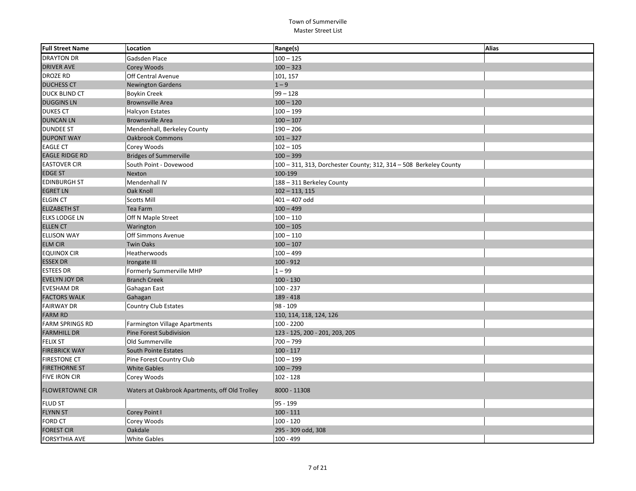| <b>Full Street Name</b> | Location                                       | Range(s)                                                          | Alias |
|-------------------------|------------------------------------------------|-------------------------------------------------------------------|-------|
| <b>DRAYTON DR</b>       | Gadsden Place                                  | $100 - 125$                                                       |       |
| <b>DRIVER AVE</b>       | Corey Woods                                    | $100 - 323$                                                       |       |
| <b>DROZE RD</b>         | Off Central Avenue                             | 101, 157                                                          |       |
| <b>DUCHESS CT</b>       | <b>Newington Gardens</b>                       | $1 - 9$                                                           |       |
| DUCK BLIND CT           | <b>Boykin Creek</b>                            | $99 - 128$                                                        |       |
| <b>DUGGINS LN</b>       | <b>Brownsville Area</b>                        | $100 - 120$                                                       |       |
| <b>DUKES CT</b>         | <b>Halcyon Estates</b>                         | $100 - 199$                                                       |       |
| <b>DUNCAN LN</b>        | <b>Brownsville Area</b>                        | $100 - 107$                                                       |       |
| <b>DUNDEE ST</b>        | Mendenhall, Berkeley County                    | $190 - 206$                                                       |       |
| <b>DUPONT WAY</b>       | <b>Oakbrook Commons</b>                        | $101 - 327$                                                       |       |
| <b>EAGLE CT</b>         | Corey Woods                                    | $102 - 105$                                                       |       |
| <b>EAGLE RIDGE RD</b>   | <b>Bridges of Summerville</b>                  | $100 - 399$                                                       |       |
| <b>EASTOVER CIR</b>     | South Point - Dovewood                         | 100 - 311, 313, Dorchester County; 312, 314 - 508 Berkeley County |       |
| <b>EDGE ST</b>          | Nexton                                         | 100-199                                                           |       |
| <b>EDINBURGH ST</b>     | Mendenhall IV                                  | 188 - 311 Berkeley County                                         |       |
| <b>EGRET LN</b>         | Oak Knoll                                      | $102 - 113, 115$                                                  |       |
| <b>ELGIN CT</b>         | Scotts Mill                                    | $401 - 407$ odd                                                   |       |
| <b>ELIZABETH ST</b>     | Tea Farm                                       | $100 - 499$                                                       |       |
| <b>ELKS LODGE LN</b>    | Off N Maple Street                             | $100 - 110$                                                       |       |
| <b>ELLEN CT</b>         | Warington                                      | $100 - 105$                                                       |       |
| <b>ELLISON WAY</b>      | Off Simmons Avenue                             | $100 - 110$                                                       |       |
| <b>ELM CIR</b>          | <b>Twin Oaks</b>                               | $100 - 107$                                                       |       |
| <b>EQUINOX CIR</b>      | Heatherwoods                                   | $100 - 499$                                                       |       |
| <b>ESSEX DR</b>         | Irongate III                                   | $100 - 912$                                                       |       |
| <b>ESTEES DR</b>        | Formerly Summerville MHP                       | $1 - 99$                                                          |       |
| EVELYN JOY DR           | <b>Branch Creek</b>                            | $100 - 130$                                                       |       |
| <b>EVESHAM DR</b>       | Gahagan East                                   | $100 - 237$                                                       |       |
| <b>FACTORS WALK</b>     | Gahagan                                        | 189 - 418                                                         |       |
| <b>FAIRWAY DR</b>       | <b>Country Club Estates</b>                    | 98 - 109                                                          |       |
| <b>FARM RD</b>          |                                                | 110, 114, 118, 124, 126                                           |       |
| <b>FARM SPRINGS RD</b>  | <b>Farmington Village Apartments</b>           | 100 - 2200                                                        |       |
| <b>FARMHILL DR</b>      | Pine Forest Subdivision                        | 123 - 125, 200 - 201, 203, 205                                    |       |
| <b>FELIX ST</b>         | Old Summerville                                | $700 - 799$                                                       |       |
| <b>FIREBRICK WAY</b>    | South Pointe Estates                           | $100 - 117$                                                       |       |
| <b>FIRESTONE CT</b>     | Pine Forest Country Club                       | $100 - 199$                                                       |       |
| <b>FIRETHORNE ST</b>    | <b>White Gables</b>                            | $100 - 799$                                                       |       |
| <b>FIVE IRON CIR</b>    | Corey Woods                                    | $102 - 128$                                                       |       |
| <b>FLOWERTOWNE CIR</b>  | Waters at Oakbrook Apartments, off Old Trolley | 8000 - 11308                                                      |       |
| <b>FLUD ST</b>          |                                                | 95 - 199                                                          |       |
| <b>FLYNN ST</b>         | Corey Point I                                  | $100 - 111$                                                       |       |
| <b>FORD CT</b>          | Corey Woods                                    | $100 - 120$                                                       |       |
| <b>FOREST CIR</b>       | Oakdale                                        | 295 - 309 odd, 308                                                |       |
| <b>FORSYTHIA AVE</b>    | <b>White Gables</b>                            | 100 - 499                                                         |       |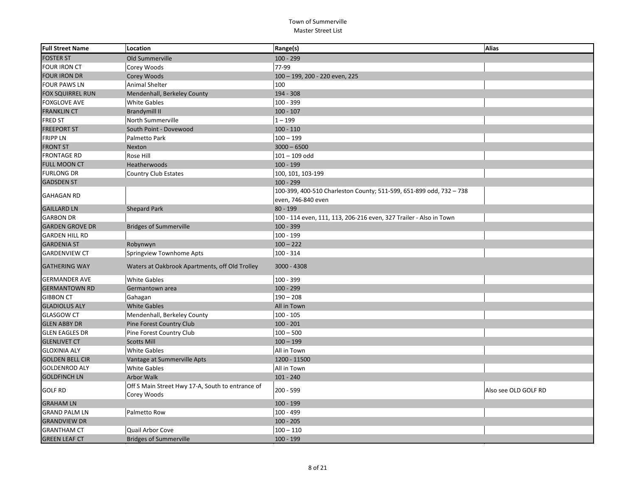| <b>Full Street Name</b> | Location                                                        | Range(s)                                                            | Alias                |
|-------------------------|-----------------------------------------------------------------|---------------------------------------------------------------------|----------------------|
| <b>FOSTER ST</b>        | Old Summerville                                                 | $100 - 299$                                                         |                      |
| <b>FOUR IRON CT</b>     | Corey Woods                                                     | 77-99                                                               |                      |
| <b>FOUR IRON DR</b>     | Corey Woods                                                     | 100 - 199, 200 - 220 even, 225                                      |                      |
| <b>FOUR PAWS LN</b>     | <b>Animal Shelter</b>                                           | 100                                                                 |                      |
| <b>FOX SQUIRREL RUN</b> | Mendenhall, Berkeley County                                     | 194 - 308                                                           |                      |
| <b>FOXGLOVE AVE</b>     | <b>White Gables</b>                                             | 100 - 399                                                           |                      |
| <b>FRANKLIN CT</b>      | <b>Brandymill II</b>                                            | $100 - 107$                                                         |                      |
| FRED ST                 | North Summerville                                               | $1 - 199$                                                           |                      |
| <b>FREEPORT ST</b>      | South Point - Dovewood                                          | $100 - 110$                                                         |                      |
| FRIPP LN                | Palmetto Park                                                   | $100 - 199$                                                         |                      |
| <b>FRONT ST</b>         | Nexton                                                          | $3000 - 6500$                                                       |                      |
| <b>FRONTAGE RD</b>      | <b>Rose Hill</b>                                                | $101 - 109$ odd                                                     |                      |
| <b>FULL MOON CT</b>     | Heatherwoods                                                    | $100 - 199$                                                         |                      |
| <b>FURLONG DR</b>       | <b>Country Club Estates</b>                                     | 100, 101, 103-199                                                   |                      |
| <b>GADSDEN ST</b>       |                                                                 | $100 - 299$                                                         |                      |
|                         |                                                                 | 100-399, 400-510 Charleston County; 511-599, 651-899 odd, 732 - 738 |                      |
| <b>GAHAGAN RD</b>       |                                                                 | even, 746-840 even                                                  |                      |
| <b>GAILLARD LN</b>      | <b>Shepard Park</b>                                             | $80 - 199$                                                          |                      |
| <b>GARBON DR</b>        |                                                                 | 100 - 114 even, 111, 113, 206-216 even, 327 Trailer - Also in Town  |                      |
| <b>GARDEN GROVE DR</b>  | <b>Bridges of Summerville</b>                                   | $100 - 399$                                                         |                      |
| <b>GARDEN HILL RD</b>   |                                                                 | 100 - 199                                                           |                      |
| <b>GARDENIA ST</b>      | Robynwyn                                                        | $100 - 222$                                                         |                      |
| <b>GARDENVIEW CT</b>    | Springview Townhome Apts                                        | 100 - 314                                                           |                      |
| <b>GATHERING WAY</b>    | Waters at Oakbrook Apartments, off Old Trolley                  | 3000 - 4308                                                         |                      |
| <b>GERMANDER AVE</b>    | <b>White Gables</b>                                             | 100 - 399                                                           |                      |
| <b>GERMANTOWN RD</b>    | Germantown area                                                 | $100 - 299$                                                         |                      |
| <b>GIBBON CT</b>        | Gahagan                                                         | $190 - 208$                                                         |                      |
| <b>GLADIOLUS ALY</b>    | <b>White Gables</b>                                             | All in Town                                                         |                      |
| <b>GLASGOW CT</b>       | Mendenhall, Berkeley County                                     | $100 - 105$                                                         |                      |
| <b>GLEN ABBY DR</b>     | Pine Forest Country Club                                        | $100 - 201$                                                         |                      |
| <b>GLEN EAGLES DR</b>   | Pine Forest Country Club                                        | $100 - 500$                                                         |                      |
| <b>GLENLIVET CT</b>     | <b>Scotts Mill</b>                                              | $100 - 199$                                                         |                      |
| <b>GLOXINIA ALY</b>     | <b>White Gables</b>                                             | All in Town                                                         |                      |
| <b>GOLDEN BELL CIR</b>  | Vantage at Summerville Apts                                     | 1200 - 11500                                                        |                      |
| <b>GOLDENROD ALY</b>    | <b>White Gables</b>                                             | All in Town                                                         |                      |
| <b>GOLDFINCH LN</b>     | <b>Arbor Walk</b>                                               | $101 - 240$                                                         |                      |
| <b>GOLF RD</b>          | Off S Main Street Hwy 17-A, South to entrance of<br>Corey Woods | $200 - 599$                                                         | Also see OLD GOLF RD |
| <b>GRAHAM LN</b>        |                                                                 | $100 - 199$                                                         |                      |
| <b>GRAND PALM LN</b>    | Palmetto Row                                                    | 100 - 499                                                           |                      |
| <b>GRANDVIEW DR</b>     |                                                                 | $100 - 205$                                                         |                      |
| <b>GRANTHAM CT</b>      | Quail Arbor Cove                                                | $100 - 110$                                                         |                      |
| <b>GREEN LEAF CT</b>    | <b>Bridges of Summerville</b>                                   | $100 - 199$                                                         |                      |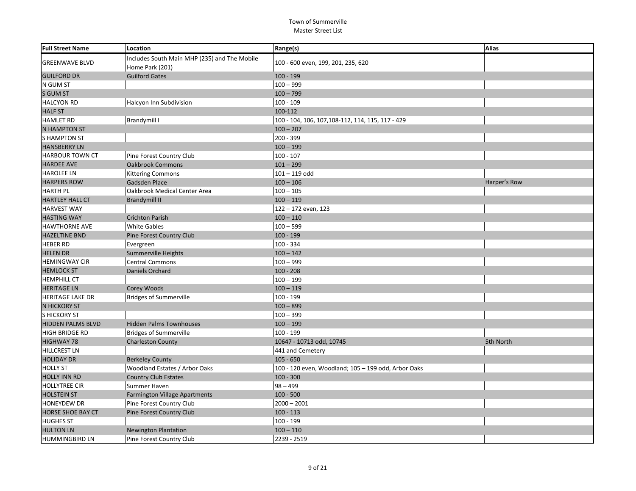| <b>Full Street Name</b>  | Location                                                        | Range(s)                                            | Alias        |
|--------------------------|-----------------------------------------------------------------|-----------------------------------------------------|--------------|
| <b>GREENWAVE BLVD</b>    | Includes South Main MHP (235) and The Mobile<br>Home Park (201) | 100 - 600 even, 199, 201, 235, 620                  |              |
| <b>GUILFORD DR</b>       | <b>Guilford Gates</b>                                           | $100 - 199$                                         |              |
| N GUM ST                 |                                                                 | $100 - 999$                                         |              |
| S GUM ST                 |                                                                 | $100 - 799$                                         |              |
| <b>HALCYON RD</b>        | Halcyon Inn Subdivision                                         | $100 - 109$                                         |              |
| <b>HALF ST</b>           |                                                                 | 100-112                                             |              |
| <b>HAMLET RD</b>         | <b>Brandymill I</b>                                             | 100 - 104, 106, 107, 108 - 112, 114, 115, 117 - 429 |              |
| <b>N HAMPTON ST</b>      |                                                                 | $100 - 207$                                         |              |
| <b>SHAMPTON ST</b>       |                                                                 | 200 - 399                                           |              |
| <b>HANSBERRY LN</b>      |                                                                 | $100 - 199$                                         |              |
| <b>HARBOUR TOWN CT</b>   | Pine Forest Country Club                                        | $100 - 107$                                         |              |
| <b>HARDEE AVE</b>        | <b>Oakbrook Commons</b>                                         | $101 - 299$                                         |              |
| <b>HAROLEE LN</b>        | <b>Kittering Commons</b>                                        | $101 - 119$ odd                                     |              |
| <b>HARPERS ROW</b>       | Gadsden Place                                                   | $100 - 106$                                         | Harper's Row |
| <b>HARTH PL</b>          | Oakbrook Medical Center Area                                    | $100 - 105$                                         |              |
| <b>HARTLEY HALL CT</b>   | <b>Brandymill II</b>                                            | $100 - 119$                                         |              |
| <b>HARVEST WAY</b>       |                                                                 | 122 - 172 even, 123                                 |              |
| <b>HASTING WAY</b>       | <b>Crichton Parish</b>                                          | $100 - 110$                                         |              |
| <b>HAWTHORNE AVE</b>     | <b>White Gables</b>                                             | $100 - 599$                                         |              |
| <b>HAZELTINE BND</b>     | Pine Forest Country Club                                        | $100 - 199$                                         |              |
| <b>HEBER RD</b>          | Evergreen                                                       | 100 - 334                                           |              |
| <b>HELEN DR</b>          | <b>Summerville Heights</b>                                      | $100 - 142$                                         |              |
| <b>HEMINGWAY CIR</b>     | <b>Central Commons</b>                                          | $100 - 999$                                         |              |
| <b>HEMLOCK ST</b>        | Daniels Orchard                                                 | $100 - 208$                                         |              |
| <b>HEMPHILL CT</b>       |                                                                 | $100 - 199$                                         |              |
| <b>HERITAGE LN</b>       | Corey Woods                                                     | $100 - 119$                                         |              |
| <b>HERITAGE LAKE DR</b>  | <b>Bridges of Summerville</b>                                   | 100 - 199                                           |              |
| N HICKORY ST             |                                                                 | $100 - 899$                                         |              |
| <b>SHICKORY ST</b>       |                                                                 | $100 - 399$                                         |              |
| <b>HIDDEN PALMS BLVD</b> | <b>Hidden Palms Townhouses</b>                                  | $100 - 199$                                         |              |
| HIGH BRIDGE RD           | Bridges of Summerville                                          | 100 - 199                                           |              |
| <b>HIGHWAY 78</b>        | <b>Charleston County</b>                                        | 10647 - 10713 odd, 10745                            | 5th North    |
| <b>HILLCREST LN</b>      |                                                                 | 441 and Cemetery                                    |              |
| <b>HOLIDAY DR</b>        | <b>Berkeley County</b>                                          | $105 - 650$                                         |              |
| <b>HOLLY ST</b>          | <b>Woodland Estates / Arbor Oaks</b>                            | 100 - 120 even, Woodland; 105 - 199 odd, Arbor Oaks |              |
| <b>HOLLY INN RD</b>      | <b>Country Club Estates</b>                                     | $100 - 300$                                         |              |
| <b>HOLLYTREE CIR</b>     | Summer Haven                                                    | $98 - 499$                                          |              |
| <b>HOLSTEIN ST</b>       | Farmington Village Apartments                                   | $100 - 500$                                         |              |
| <b>HONEYDEW DR</b>       | Pine Forest Country Club                                        | $2000 - 2001$                                       |              |
| <b>HORSE SHOE BAY CT</b> | Pine Forest Country Club                                        | $100 - 113$                                         |              |
| <b>HUGHES ST</b>         |                                                                 | 100 - 199                                           |              |
| <b>HULTON LN</b>         | <b>Newington Plantation</b>                                     | $100 - 110$                                         |              |
| HUMMINGBIRD LN           | Pine Forest Country Club                                        | 2239 - 2519                                         |              |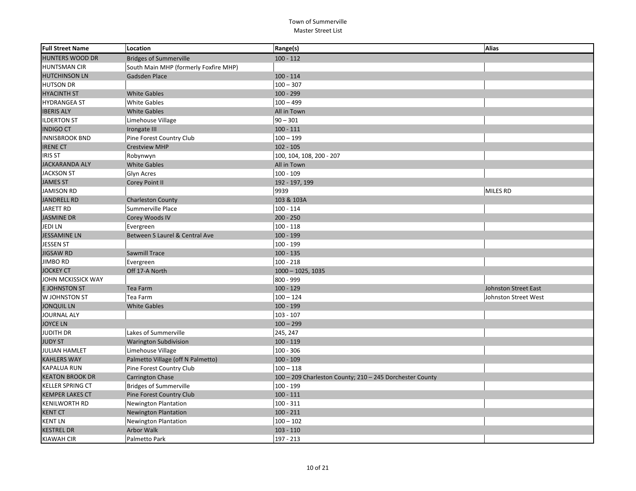| <b>Full Street Name</b> | Location                              | Range(s)                                                 | Alias                |
|-------------------------|---------------------------------------|----------------------------------------------------------|----------------------|
| <b>HUNTERS WOOD DR</b>  | <b>Bridges of Summerville</b>         | $100 - 112$                                              |                      |
| <b>HUNTSMAN CIR</b>     | South Main MHP (formerly Foxfire MHP) |                                                          |                      |
| <b>HUTCHINSON LN</b>    | Gadsden Place                         | $100 - 114$                                              |                      |
| <b>HUTSON DR</b>        |                                       | $100 - 307$                                              |                      |
| <b>HYACINTH ST</b>      | <b>White Gables</b>                   | $100 - 299$                                              |                      |
| <b>HYDRANGEA ST</b>     | <b>White Gables</b>                   | $100 - 499$                                              |                      |
| <b>IBERIS ALY</b>       | <b>White Gables</b>                   | All in Town                                              |                      |
| <b>ILDERTON ST</b>      | Limehouse Village                     | $90 - 301$                                               |                      |
| <b>INDIGO CT</b>        | Irongate III                          | $100 - 111$                                              |                      |
| <b>INNISBROOK BND</b>   | Pine Forest Country Club              | $100 - 199$                                              |                      |
| <b>IRENE CT</b>         | <b>Crestview MHP</b>                  | $102 - 105$                                              |                      |
| <b>IRIS ST</b>          | Robynwyn                              | 100, 104, 108, 200 - 207                                 |                      |
| <b>JACKARANDA ALY</b>   | <b>White Gables</b>                   | All in Town                                              |                      |
| <b>JACKSON ST</b>       | <b>Glyn Acres</b>                     | $100 - 109$                                              |                      |
| <b>JAMES ST</b>         | <b>Corey Point II</b>                 | 192 - 197, 199                                           |                      |
| <b>JAMISON RD</b>       |                                       | 9939                                                     | MILES RD             |
| <b>JANDRELL RD</b>      | <b>Charleston County</b>              | 103 & 103A                                               |                      |
| JARETT RD               | Summerville Place                     | $100 - 114$                                              |                      |
| <b>JASMINE DR</b>       | Corey Woods IV                        | $200 - 250$                                              |                      |
| <b>JEDILN</b>           | Evergreen                             | $100 - 118$                                              |                      |
| <b>JESSAMINE LN</b>     | Between S Laurel & Central Ave        | $100 - 199$                                              |                      |
| <b>JESSEN ST</b>        |                                       | 100 - 199                                                |                      |
| <b>JIGSAW RD</b>        | Sawmill Trace                         | $100 - 135$                                              |                      |
| <b>JIMBO RD</b>         | Evergreen                             | $100 - 218$                                              |                      |
| <b>JOCKEY CT</b>        | Off 17-A North                        | $1000 - 1025, 1035$                                      |                      |
| JOHN MCKISSICK WAY      |                                       | 800 - 999                                                |                      |
| E JOHNSTON ST           | Tea Farm                              | $100 - 129$                                              | Johnston Street East |
| W JOHNSTON ST           | Tea Farm                              | $100 - 124$                                              | Johnston Street West |
| <b>JONQUIL LN</b>       | <b>White Gables</b>                   | $100 - 199$                                              |                      |
| <b>JOURNAL ALY</b>      |                                       | $103 - 107$                                              |                      |
| <b>JOYCE LN</b>         |                                       | $100 - 299$                                              |                      |
| <b>JUDITH DR</b>        | Lakes of Summerville                  | 245, 247                                                 |                      |
| <b>JUDY ST</b>          | Warington Subdivision                 | $100 - 119$                                              |                      |
| <b>JULIAN HAMLET</b>    | Limehouse Village                     | $100 - 306$                                              |                      |
| <b>KAHLERS WAY</b>      | Palmetto Village (off N Palmetto)     | $100 - 109$                                              |                      |
| <b>KAPALUA RUN</b>      | Pine Forest Country Club              | $100 - 118$                                              |                      |
| <b>KEATON BROOK DR</b>  | <b>Carrington Chase</b>               | 100 - 209 Charleston County; 210 - 245 Dorchester County |                      |
| <b>KELLER SPRING CT</b> | Bridges of Summerville                | 100 - 199                                                |                      |
| <b>KEMPER LAKES CT</b>  | Pine Forest Country Club              | $100 - 111$                                              |                      |
| <b>KENILWORTH RD</b>    | <b>Newington Plantation</b>           | $100 - 311$                                              |                      |
| <b>KENT CT</b>          | <b>Newington Plantation</b>           | $100 - 211$                                              |                      |
| <b>KENT LN</b>          | <b>Newington Plantation</b>           | $100 - 102$                                              |                      |
| <b>KESTREL DR</b>       | Arbor Walk                            | $103 - 110$                                              |                      |
| <b>KIAWAH CIR</b>       | Palmetto Park                         | 197 - 213                                                |                      |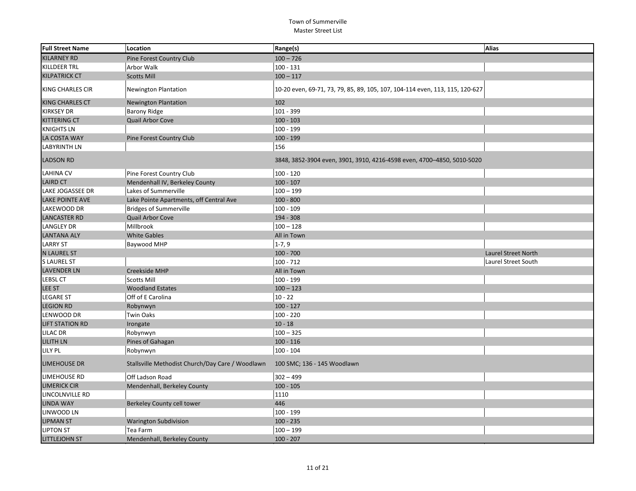| <b>Full Street Name</b> | Location                                         | Range(s)                                                                     | Alias               |
|-------------------------|--------------------------------------------------|------------------------------------------------------------------------------|---------------------|
| <b>KILARNEY RD</b>      | Pine Forest Country Club                         | $100 - 726$                                                                  |                     |
| <b>KILLDEER TRL</b>     | Arbor Walk                                       | 100 - 131                                                                    |                     |
| <b>KILPATRICK CT</b>    | <b>Scotts Mill</b>                               | $100 - 117$                                                                  |                     |
| <b>KING CHARLES CIR</b> | <b>Newington Plantation</b>                      | 10-20 even, 69-71, 73, 79, 85, 89, 105, 107, 104-114 even, 113, 115, 120-627 |                     |
| <b>KING CHARLES CT</b>  | <b>Newington Plantation</b>                      | 102                                                                          |                     |
| <b>KIRKSEY DR</b>       | <b>Barony Ridge</b>                              | 101 - 399                                                                    |                     |
| <b>KITTERING CT</b>     | Quail Arbor Cove                                 | $100 - 103$                                                                  |                     |
| <b>KNIGHTS LN</b>       |                                                  | 100 - 199                                                                    |                     |
| LA COSTA WAY            | Pine Forest Country Club                         | $100 - 199$                                                                  |                     |
| <b>LABYRINTH LN</b>     |                                                  | 156                                                                          |                     |
| <b>LADSON RD</b>        |                                                  | 3848, 3852-3904 even, 3901, 3910, 4216-4598 even, 4700-4850, 5010-5020       |                     |
| <b>LAHINA CV</b>        | Pine Forest Country Club                         | 100 - 120                                                                    |                     |
| <b>LAIRD CT</b>         | Mendenhall IV, Berkeley County                   | $100 - 107$                                                                  |                     |
| <b>LAKE JOGASSEE DR</b> | Lakes of Summerville                             | $100 - 199$                                                                  |                     |
| <b>LAKE POINTE AVE</b>  | Lake Pointe Apartments, off Central Ave          | $100 - 800$                                                                  |                     |
| LAKEWOOD DR             | <b>Bridges of Summerville</b>                    | $100 - 109$                                                                  |                     |
| <b>LANCASTER RD</b>     | <b>Quail Arbor Cove</b>                          | 194 - 308                                                                    |                     |
| <b>LANGLEY DR</b>       | Millbrook                                        | $100 - 128$                                                                  |                     |
| <b>LANTANA ALY</b>      | <b>White Gables</b>                              | All in Town                                                                  |                     |
| <b>LARRY ST</b>         | Baywood MHP                                      | $1-7, 9$                                                                     |                     |
| <b>N LAUREL ST</b>      |                                                  | $100 - 700$                                                                  | Laurel Street North |
| <b>S LAUREL ST</b>      |                                                  | $100 - 712$                                                                  | Laurel Street South |
| <b>LAVENDER LN</b>      | Creekside MHP                                    | All in Town                                                                  |                     |
| LEBSL CT                | <b>Scotts Mill</b>                               | 100 - 199                                                                    |                     |
| LEE ST                  | <b>Woodland Estates</b>                          | $100 - 123$                                                                  |                     |
| <b>LEGARE ST</b>        | Off of E Carolina                                | $10 - 22$                                                                    |                     |
| <b>LEGION RD</b>        | Robynwyn                                         | $100 - 127$                                                                  |                     |
| LENWOOD DR              | <b>Twin Oaks</b>                                 | 100 - 220                                                                    |                     |
| <b>LIFT STATION RD</b>  | Irongate                                         | $10 - 18$                                                                    |                     |
| <b>LILAC DR</b>         | Robynwyn                                         | $100 - 325$                                                                  |                     |
| <b>LILITH LN</b>        | Pines of Gahagan                                 | $100 - 116$                                                                  |                     |
| <b>LILY PL</b>          | Robynwyn                                         | $100 - 104$                                                                  |                     |
| <b>LIMEHOUSE DR</b>     | Stallsville Methodist Church/Day Care / Woodlawn | 100 SMC; 136 - 145 Woodlawn                                                  |                     |
| <b>LIMEHOUSE RD</b>     | Off Ladson Road                                  | $302 - 499$                                                                  |                     |
| <b>LIMERICK CIR</b>     | Mendenhall, Berkeley County                      | $100 - 105$                                                                  |                     |
| LINCOLNVILLE RD         |                                                  | 1110                                                                         |                     |
| <b>LINDA WAY</b>        | Berkeley County cell tower                       | 446                                                                          |                     |
| LINWOOD LN              |                                                  | 100 - 199                                                                    |                     |
| <b>LIPMAN ST</b>        | <b>Warington Subdivision</b>                     | $100 - 235$                                                                  |                     |
| <b>LIPTON ST</b>        | Tea Farm                                         | $100 - 199$                                                                  |                     |
| <b>LITTLEJOHN ST</b>    | Mendenhall, Berkeley County                      | $100 - 207$                                                                  |                     |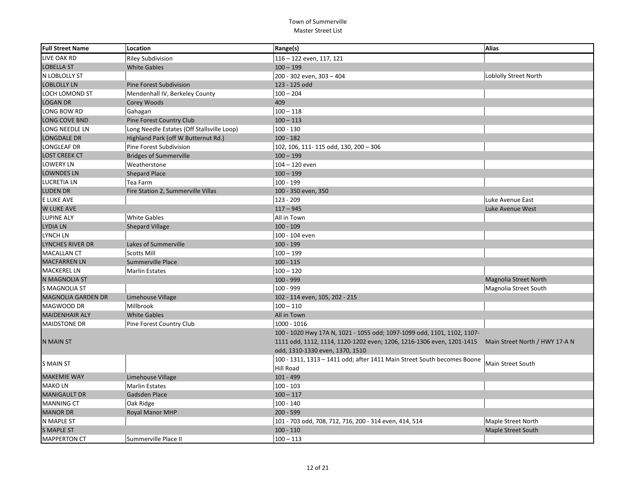| <b>Full Street Name</b>   | Location                                   | Range(s)                                                                | <b>Alias</b>                   |
|---------------------------|--------------------------------------------|-------------------------------------------------------------------------|--------------------------------|
| <b>LIVE OAK RD</b>        | <b>Riley Subdivision</b>                   | 116 - 122 even, 117, 121                                                |                                |
| <b>LOBELLA ST</b>         | <b>White Gables</b>                        | $100 - 199$                                                             |                                |
| N LOBLOLLY ST             |                                            | 200 - 302 even, 303 - 404                                               | Loblolly Street North          |
| <b>LOBLOLLY LN</b>        | Pine Forest Subdivision                    | 123 - 125 odd                                                           |                                |
| <b>LOCH LOMOND ST</b>     | Mendenhall IV, Berkeley County             | $100 - 204$                                                             |                                |
| <b>LOGAN DR</b>           | Corey Woods                                | 409                                                                     |                                |
| LONG BOW RD               | Gahagan                                    | $100 - 118$                                                             |                                |
| LONG COVE BND             | Pine Forest Country Club                   | $100 - 113$                                                             |                                |
| <b>LONG NEEDLE LN</b>     | Long Needle Estates (Off Stallsville Loop) | $100 - 130$                                                             |                                |
| <b>LONGDALE DR</b>        | Highland Park (off W Butternut Rd.)        | $100 - 182$                                                             |                                |
| <b>LONGLEAF DR</b>        | Pine Forest Subdivision                    | 102, 106, 111-115 odd, 130, 200 - 306                                   |                                |
| <b>LOST CREEK CT</b>      | <b>Bridges of Summerville</b>              | $100 - 199$                                                             |                                |
| <b>LOWERY LN</b>          | Weatherstone                               | 104 - 120 even                                                          |                                |
| <b>LOWNDES LN</b>         | <b>Shepard Place</b>                       | $100 - 199$                                                             |                                |
| <b>LUCRETIA LN</b>        | Tea Farm                                   | 100 - 199                                                               |                                |
| <b>LUDEN DR</b>           | Fire Station 2, Summerville Villas         | 100 - 350 even, 350                                                     |                                |
| E LUKE AVE                |                                            | 123 - 209                                                               | Luke Avenue East               |
| <b>W LUKE AVE</b>         |                                            | $117 - 945$                                                             | Luke Avenue West               |
| <b>LUPINE ALY</b>         | <b>White Gables</b>                        | All in Town                                                             |                                |
| <b>LYDIA LN</b>           | <b>Shepard Village</b>                     | $100 - 109$                                                             |                                |
| <b>LYNCH LN</b>           |                                            | 100 - 104 even                                                          |                                |
| <b>LYNCHES RIVER DR</b>   | Lakes of Summerville                       | $100 - 199$                                                             |                                |
| <b>MACALLAN CT</b>        | Scotts Mill                                | $100 - 199$                                                             |                                |
| <b>MACFARREN LN</b>       | Summerville Place                          | $100 - 115$                                                             |                                |
| <b>MACKEREL LN</b>        | <b>Marlin Estates</b>                      | $100 - 120$                                                             |                                |
| N MAGNOLIA ST             |                                            | $100 - 999$                                                             | Magnolia Street North          |
| <b>S MAGNOLIA ST</b>      |                                            | 100 - 999                                                               | Magnolia Street South          |
| <b>MAGNOLIA GARDEN DR</b> | Limehouse Village                          | 102 - 114 even, 105, 202 - 215                                          |                                |
| MAGWOOD DR                | Millbrook                                  | $100 - 110$                                                             |                                |
| <b>MAIDENHAIR ALY</b>     | <b>White Gables</b>                        | All in Town                                                             |                                |
| <b>MAIDSTONE DR</b>       | Pine Forest Country Club                   | 1000 - 1016                                                             |                                |
|                           |                                            | 100 - 1020 Hwy 17A N, 1021 - 1055 odd; 1097-1099 odd, 1101, 1102, 1107- |                                |
| <b>N MAIN ST</b>          |                                            | 1111 odd, 1112, 1114, 1120-1202 even; 1206, 1216-1306 even, 1201-1415   | Main Street North / HWY 17-A N |
|                           |                                            | odd, 1310-1330 even, 1370, 1510                                         |                                |
| <b>S MAIN ST</b>          |                                            | 100 - 1311, 1313 - 1411 odd; after 1411 Main Street South becomes Boone | Main Street South              |
|                           |                                            | Hill Road                                                               |                                |
| <b>MAKEMIE WAY</b>        | Limehouse Village                          | 101 - 499                                                               |                                |
| <b>MAKOLN</b>             | <b>Marlin Estates</b>                      | $100 - 103$                                                             |                                |
| <b>MANIGAULT DR</b>       | Gadsden Place                              | $100 - 117$                                                             |                                |
| <b>MANNING CT</b>         | Oak Ridge                                  | $100 - 140$                                                             |                                |
| <b>MANOR DR</b>           | <b>Royal Manor MHP</b>                     | $200 - 599$                                                             |                                |
| N MAPLE ST                |                                            | 101 - 703 odd, 708, 712, 716, 200 - 314 even, 414, 514                  | Maple Street North             |
| <b>S MAPLE ST</b>         |                                            | $100 - 110$                                                             | <b>Maple Street South</b>      |
| <b>MAPPERTON CT</b>       | Summerville Place II                       | $100 - 113$                                                             |                                |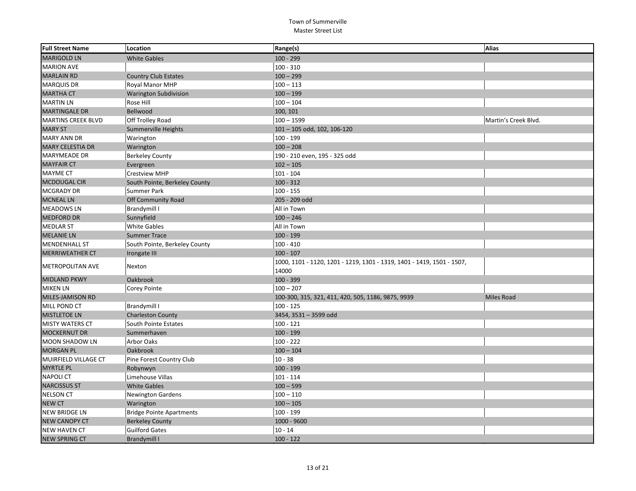| <b>Full Street Name</b>   | Location                        | Range(s)                                                               | Alias                |
|---------------------------|---------------------------------|------------------------------------------------------------------------|----------------------|
| <b>MARIGOLD LN</b>        | <b>White Gables</b>             | $100 - 299$                                                            |                      |
| <b>MARION AVE</b>         |                                 | $100 - 310$                                                            |                      |
| <b>MARLAIN RD</b>         | <b>Country Club Estates</b>     | $100 - 299$                                                            |                      |
| <b>MARQUIS DR</b>         | Royal Manor MHP                 | $100 - 113$                                                            |                      |
| <b>MARTHA CT</b>          | <b>Warington Subdivision</b>    | $100 - 199$                                                            |                      |
| <b>MARTIN LN</b>          | Rose Hill                       | $100 - 104$                                                            |                      |
| <b>MARTINGALE DR</b>      | Bellwood                        | 100, 101                                                               |                      |
| <b>MARTINS CREEK BLVD</b> | Off Trolley Road                | $100 - 1599$                                                           | Martin's Creek Blvd. |
| <b>MARY ST</b>            | Summerville Heights             | 101-105 odd, 102, 106-120                                              |                      |
| <b>MARY ANN DR</b>        | Warington                       | 100 - 199                                                              |                      |
| <b>MARY CELESTIA DR</b>   | Warington                       | $100 - 208$                                                            |                      |
| <b>MARYMEADE DR</b>       | <b>Berkeley County</b>          | 190 - 210 even, 195 - 325 odd                                          |                      |
| <b>MAYFAIR CT</b>         | Evergreen                       | $102 - 105$                                                            |                      |
| <b>MAYME CT</b>           | Crestview MHP                   | $101 - 104$                                                            |                      |
| <b>MCDOUGAL CIR</b>       | South Pointe, Berkeley County   | $100 - 312$                                                            |                      |
| <b>MCGRADY DR</b>         | Summer Park                     | $100 - 155$                                                            |                      |
| <b>MCNEAL LN</b>          | Off Community Road              | 205 - 209 odd                                                          |                      |
| <b>MEADOWS LN</b>         | <b>Brandymill I</b>             | All in Town                                                            |                      |
| <b>MEDFORD DR</b>         | Sunnyfield                      | $100 - 246$                                                            |                      |
| <b>MEDLAR ST</b>          | <b>White Gables</b>             | All in Town                                                            |                      |
| <b>MELANIE LN</b>         | <b>Summer Trace</b>             | $100 - 199$                                                            |                      |
| <b>MENDENHALL ST</b>      | South Pointe, Berkeley County   | $100 - 410$                                                            |                      |
| <b>MERRIWEATHER CT</b>    | Irongate III                    | $100 - 107$                                                            |                      |
|                           |                                 | 1000, 1101 - 1120, 1201 - 1219, 1301 - 1319, 1401 - 1419, 1501 - 1507, |                      |
| <b>METROPOLITAN AVE</b>   | Nexton                          | 14000                                                                  |                      |
| <b>MIDLAND PKWY</b>       | Oakbrook                        | $100 - 399$                                                            |                      |
| <b>MIKEN LN</b>           | Corey Pointe                    | $100 - 207$                                                            |                      |
| MILES-JAMISON RD          |                                 | 100-300, 315, 321, 411, 420, 505, 1186, 9875, 9939                     | Miles Road           |
| MILL POND CT              | <b>Brandymill I</b>             | $100 - 125$                                                            |                      |
| <b>MISTLETOE LN</b>       | <b>Charleston County</b>        | 3454, 3531 - 3599 odd                                                  |                      |
| <b>MISTY WATERS CT</b>    | South Pointe Estates            | $100 - 121$                                                            |                      |
| <b>MOCKERNUT DR</b>       | Summerhaven                     | $100 - 199$                                                            |                      |
| <b>MOON SHADOW LN</b>     | Arbor Oaks                      | $100 - 222$                                                            |                      |
| <b>MORGAN PL</b>          | Oakbrook                        | $100 - 104$                                                            |                      |
| MUIRFIELD VILLAGE CT      | Pine Forest Country Club        | $10 - 38$                                                              |                      |
| <b>MYRTLE PL</b>          | Robynwyn                        | $100 - 199$                                                            |                      |
| <b>NAPOLICT</b>           | Limehouse Villas                | $101 - 114$                                                            |                      |
| <b>NARCISSUS ST</b>       | <b>White Gables</b>             | $100 - 599$                                                            |                      |
| <b>NELSON CT</b>          | <b>Newington Gardens</b>        | $100 - 110$                                                            |                      |
| <b>NEW CT</b>             | Warington                       | $100 - 105$                                                            |                      |
| <b>NEW BRIDGE LN</b>      | <b>Bridge Pointe Apartments</b> | 100 - 199                                                              |                      |
| <b>NEW CANOPY CT</b>      | <b>Berkeley County</b>          | 1000 - 9600                                                            |                      |
| <b>NEW HAVEN CT</b>       | <b>Guilford Gates</b>           | $10 - 14$                                                              |                      |
| <b>NEW SPRING CT</b>      | <b>Brandymill I</b>             | $100 - 122$                                                            |                      |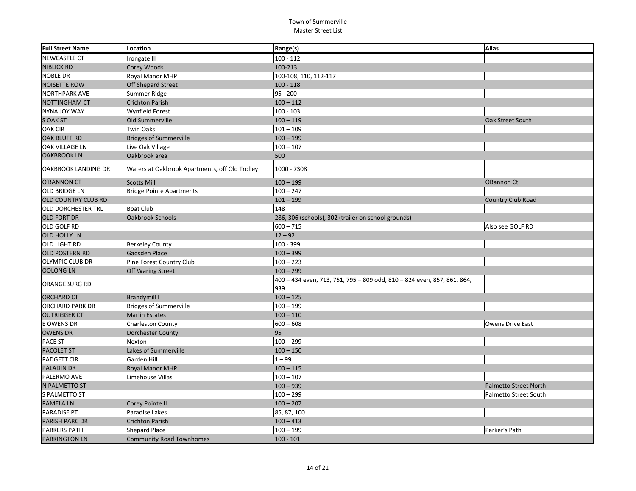| <b>Full Street Name</b> | Location                                       | Range(s)                                                                       | Alias                 |
|-------------------------|------------------------------------------------|--------------------------------------------------------------------------------|-----------------------|
| <b>NEWCASTLE CT</b>     | Irongate III                                   | $100 - 112$                                                                    |                       |
| <b>NIBLICK RD</b>       | Corey Woods                                    | 100-213                                                                        |                       |
| <b>NOBLE DR</b>         | <b>Royal Manor MHP</b>                         | 100-108, 110, 112-117                                                          |                       |
| <b>NOISETTE ROW</b>     | <b>Off Shepard Street</b>                      | $100 - 118$                                                                    |                       |
| <b>NORTHPARK AVE</b>    | Summer Ridge                                   | $95 - 200$                                                                     |                       |
| <b>NOTTINGHAM CT</b>    | <b>Crichton Parish</b>                         | $100 - 112$                                                                    |                       |
| NYNA JOY WAY            | <b>Wynfield Forest</b>                         | $100 - 103$                                                                    |                       |
| <b>S OAK ST</b>         | Old Summerville                                | $100 - 119$                                                                    | Oak Street South      |
| <b>OAK CIR</b>          | <b>Twin Oaks</b>                               | $101 - 109$                                                                    |                       |
| OAK BLUFF RD            | <b>Bridges of Summerville</b>                  | $100 - 199$                                                                    |                       |
| OAK VILLAGE LN          | Live Oak Village                               | $100 - 107$                                                                    |                       |
| <b>OAKBROOK LN</b>      | Oakbrook area                                  | 500                                                                            |                       |
| OAKBROOK LANDING DR     | Waters at Oakbrook Apartments, off Old Trolley | 1000 - 7308                                                                    |                       |
| O'BANNON CT             | <b>Scotts Mill</b>                             | $100 - 199$                                                                    | OBannon Ct            |
| OLD BRIDGE LN           | <b>Bridge Pointe Apartments</b>                | $100 - 247$                                                                    |                       |
| OLD COUNTRY CLUB RD     |                                                | $101 - 199$                                                                    | Country Club Road     |
| OLD DORCHESTER TRL      | Boat Club                                      | 148                                                                            |                       |
| <b>OLD FORT DR</b>      | Oakbrook Schools                               | 286, 306 (schools), 302 (trailer on school grounds)                            |                       |
| OLD GOLF RD             |                                                | $600 - 715$                                                                    | Also see GOLF RD      |
| <b>OLD HOLLY LN</b>     |                                                | $12 - 92$                                                                      |                       |
| OLD LIGHT RD            | <b>Berkeley County</b>                         | 100 - 399                                                                      |                       |
| OLD POSTERN RD          | Gadsden Place                                  | $100 - 399$                                                                    |                       |
| <b>OLYMPIC CLUB DR</b>  | Pine Forest Country Club                       | $100 - 223$                                                                    |                       |
| <b>OOLONG LN</b>        | Off Waring Street                              | $100 - 299$                                                                    |                       |
| ORANGEBURG RD           |                                                | 400 - 434 even, 713, 751, 795 - 809 odd, 810 - 824 even, 857, 861, 864,<br>939 |                       |
| <b>ORCHARD CT</b>       | <b>Brandymill I</b>                            | $100 - 125$                                                                    |                       |
| ORCHARD PARK DR         | <b>Bridges of Summerville</b>                  | $100 - 199$                                                                    |                       |
| <b>OUTRIGGER CT</b>     | <b>Marlin Estates</b>                          | $100 - 110$                                                                    |                       |
| E OWENS DR              | <b>Charleston County</b>                       | $600 - 608$                                                                    | Owens Drive East      |
| OWENS DR                | <b>Dorchester County</b>                       | 95                                                                             |                       |
| PACE ST                 | Nexton                                         | $100 - 299$                                                                    |                       |
| <b>PACOLET ST</b>       | Lakes of Summerville                           | $100 - 150$                                                                    |                       |
| PADGETT CIR             | Garden Hill                                    | $1 - 99$                                                                       |                       |
| <b>PALADIN DR</b>       | <b>Royal Manor MHP</b>                         | $100 - 115$                                                                    |                       |
| PALERMO AVE             | Limehouse Villas                               | $100 - 107$                                                                    |                       |
| N PALMETTO ST           |                                                | $100 - 939$                                                                    | Palmetto Street North |
| S PALMETTO ST           |                                                | $100 - 299$                                                                    | Palmetto Street South |
| <b>PAMELA LN</b>        | Corey Pointe II                                | $100 - 207$                                                                    |                       |
| <b>PARADISE PT</b>      | Paradise Lakes                                 | 85, 87, 100                                                                    |                       |
| PARISH PARC DR          | <b>Crichton Parish</b>                         | $100 - 413$                                                                    |                       |
| <b>PARKERS PATH</b>     | Shepard Place                                  | $100 - 199$                                                                    | Parker's Path         |
| <b>PARKINGTON LN</b>    | <b>Community Road Townhomes</b>                | $100 - 101$                                                                    |                       |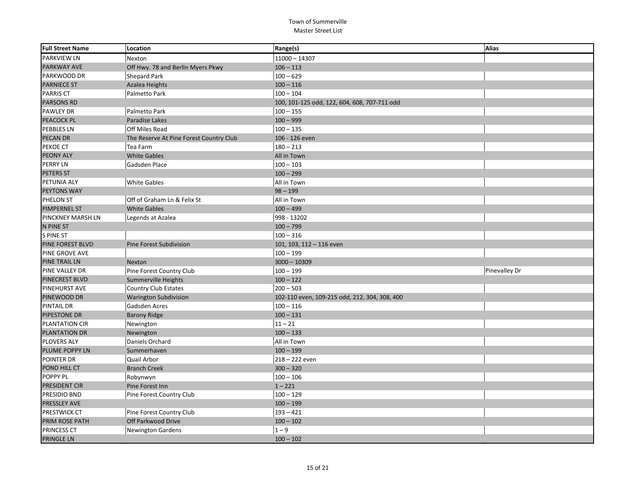| <b>Full Street Name</b> | Location                                | Range(s)                                      | Alias         |
|-------------------------|-----------------------------------------|-----------------------------------------------|---------------|
| <b>PARKVIEW LN</b>      | Nexton                                  | 11000 - 14307                                 |               |
| PARKWAY AVE             | Off Hwy. 78 and Berlin Myers Pkwy       | $106 - 113$                                   |               |
| PARKWOOD DR             | Shepard Park                            | $100 - 629$                                   |               |
| <b>PARNIECE ST</b>      | Azalea Heights                          | $100 - 116$                                   |               |
| <b>PARRIS CT</b>        | Palmetto Park                           | $100 - 104$                                   |               |
| <b>PARSONS RD</b>       |                                         | 100, 101-125 odd, 122, 604, 608, 707-711 odd  |               |
| <b>PAWLEY DR</b>        | Palmetto Park                           | $100 - 155$                                   |               |
| PEACOCK PL              | Paradise Lakes                          | $100 - 999$                                   |               |
| <b>PEBBLES LN</b>       | Off Miles Road                          | $100 - 135$                                   |               |
| <b>PECAN DR</b>         | The Reserve At Pine Forest Country Club | 106 - 126 even                                |               |
| PEKOE CT                | Tea Farm                                | $180 - 213$                                   |               |
| <b>PEONY ALY</b>        | <b>White Gables</b>                     | All in Town                                   |               |
| PERRY LN                | Gadsden Place                           | $100 - 103$                                   |               |
| PETERS ST               |                                         | $100 - 299$                                   |               |
| PETUNIA ALY             | <b>White Gables</b>                     | All in Town                                   |               |
| PEYTONS WAY             |                                         | $98 - 199$                                    |               |
| PHELON ST               | Off of Graham Ln & Felix St             | All in Town                                   |               |
| <b>PIMPERNEL ST</b>     | <b>White Gables</b>                     | $100 - 499$                                   |               |
| PINCKNEY MARSH LN       | Legends at Azalea                       | 998 - 13202                                   |               |
| N PINE ST               |                                         | $100 - 799$                                   |               |
| S PINE ST               |                                         | $100 - 316$                                   |               |
| PINE FOREST BLVD        | <b>Pine Forest Subdivision</b>          | 101, 103, 112 - 116 even                      |               |
| PINE GROVE AVE          |                                         | $100 - 199$                                   |               |
| <b>PINE TRAIL LN</b>    | Nexton                                  | $3000 - 10309$                                |               |
| PINE VALLEY DR          | Pine Forest Country Club                | $100 - 199$                                   | Pinevalley Dr |
| PINECREST BLVD          | Summerville Heights                     | $100 - 122$                                   |               |
| PINEHURST AVE           | <b>Country Club Estates</b>             | $200 - 503$                                   |               |
| PINEWOOD DR             | <b>Warington Subdivision</b>            | 102-110 even, 109-215 odd, 212, 304, 308, 400 |               |
| PINTAIL DR              | Gadsden Acres                           | $100 - 116$                                   |               |
| PIPESTONE DR            | <b>Barony Ridge</b>                     | $100 - 131$                                   |               |
| PLANTATION CIR          | Newington                               | $11 - 21$                                     |               |
| <b>PLANTATION DR</b>    | Newington                               | $100 - 133$                                   |               |
| PLOVERS ALY             | Daniels Orchard                         | All in Town                                   |               |
| PLUME POPPY LN          | Summerhaven                             | $100 - 199$                                   |               |
| POINTER DR              | <b>Quail Arbor</b>                      | 218 - 222 even                                |               |
| POND HILL CT            | <b>Branch Creek</b>                     | $300 - 320$                                   |               |
| POPPY PL                | Robynwyn                                | $100 - 106$                                   |               |
| PRESIDENT CIR           | Pine Forest Inn                         | $1 - 221$                                     |               |
| PRESIDIO BND            | Pine Forest Country Club                | $100 - 129$                                   |               |
| PRESSLEY AVE            |                                         | $100 - 199$                                   |               |
| PRESTWICK CT            | Pine Forest Country Club                | $193 - 421$                                   |               |
| PRIM ROSE PATH          | Off Parkwood Drive                      | $100 - 102$                                   |               |
| PRINCESS CT             | <b>Newington Gardens</b>                | $1 - 9$                                       |               |
| <b>PRINGLE LN</b>       |                                         | $100 - 102$                                   |               |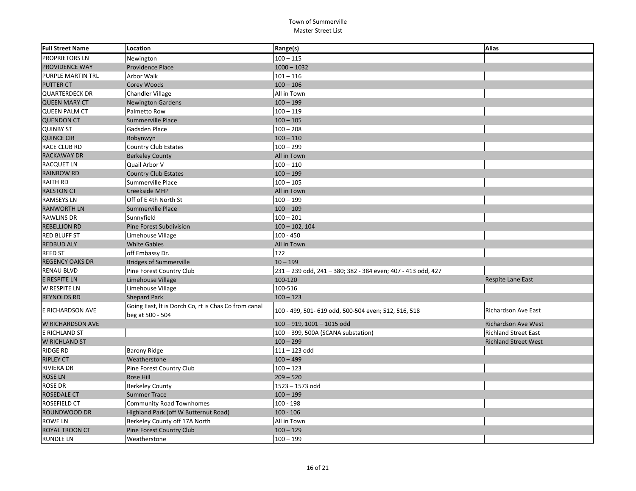| <b>Full Street Name</b>  | Location                                                                 | Range(s)                                                     | Alias                       |
|--------------------------|--------------------------------------------------------------------------|--------------------------------------------------------------|-----------------------------|
| PROPRIETORS LN           | Newington                                                                | $100 - 115$                                                  |                             |
| PROVIDENCE WAY           | Providence Place                                                         | $1000 - 1032$                                                |                             |
| <b>PURPLE MARTIN TRL</b> | <b>Arbor Walk</b>                                                        | $101 - 116$                                                  |                             |
| <b>PUTTER CT</b>         | Corey Woods                                                              | $100 - 106$                                                  |                             |
| <b>QUARTERDECK DR</b>    | <b>Chandler Village</b>                                                  | All in Town                                                  |                             |
| <b>QUEEN MARY CT</b>     | <b>Newington Gardens</b>                                                 | $100 - 199$                                                  |                             |
| <b>QUEEN PALM CT</b>     | Palmetto Row                                                             | $100 - 119$                                                  |                             |
| <b>QUENDON CT</b>        | Summerville Place                                                        | $100 - 105$                                                  |                             |
| <b>QUINBY ST</b>         | Gadsden Place                                                            | $100 - 208$                                                  |                             |
| <b>QUINCE CIR</b>        | Robynwyn                                                                 | $100 - 110$                                                  |                             |
| <b>RACE CLUB RD</b>      | Country Club Estates                                                     | $100 - 299$                                                  |                             |
| RACKAWAY DR              | <b>Berkeley County</b>                                                   | All in Town                                                  |                             |
| <b>RACQUET LN</b>        | Quail Arbor V                                                            | $100 - 110$                                                  |                             |
| <b>RAINBOW RD</b>        | <b>Country Club Estates</b>                                              | $100 - 199$                                                  |                             |
| <b>RAITH RD</b>          | Summerville Place                                                        | $100 - 105$                                                  |                             |
| <b>RALSTON CT</b>        | Creekside MHP                                                            | All in Town                                                  |                             |
| <b>RAMSEYS LN</b>        | Off of E 4th North St                                                    | $100 - 199$                                                  |                             |
| <b>RANWORTH LN</b>       | Summerville Place                                                        | $100 - 109$                                                  |                             |
| <b>RAWLINS DR</b>        | Sunnyfield                                                               | $100 - 201$                                                  |                             |
| <b>REBELLION RD</b>      | Pine Forest Subdivision                                                  | $100 - 102, 104$                                             |                             |
| <b>RED BLUFF ST</b>      | Limehouse Village                                                        | $100 - 450$                                                  |                             |
| <b>REDBUD ALY</b>        | <b>White Gables</b>                                                      | All in Town                                                  |                             |
| <b>REED ST</b>           | off Embassy Dr.                                                          | 172                                                          |                             |
| <b>REGENCY OAKS DR</b>   | <b>Bridges of Summerville</b>                                            | $10 - 199$                                                   |                             |
| <b>RENAU BLVD</b>        | Pine Forest Country Club                                                 | 231 - 239 odd, 241 - 380; 382 - 384 even; 407 - 413 odd, 427 |                             |
| E RESPITE LN             | Limehouse Village                                                        | 100-120                                                      | Respite Lane East           |
| W RESPITE LN             | Limehouse Village                                                        | 100-516                                                      |                             |
| <b>REYNOLDS RD</b>       | <b>Shepard Park</b>                                                      | $100 - 123$                                                  |                             |
| E RICHARDSON AVE         | Going East, It is Dorch Co, rt is Chas Co from canal<br>beg at 500 - 504 | 100 - 499, 501 - 619 odd, 500-504 even; 512, 516, 518        | <b>Richardson Ave East</b>  |
| W RICHARDSON AVE         |                                                                          | $100 - 919$ , $1001 - 1015$ odd                              | <b>Richardson Ave West</b>  |
| E RICHLAND ST            |                                                                          | 100 - 399, 500A (SCANA substation)                           | <b>Richland Street East</b> |
| W RICHLAND ST            |                                                                          | $100 - 299$                                                  | <b>Richland Street West</b> |
| <b>RIDGE RD</b>          | <b>Barony Ridge</b>                                                      | 111-123 odd                                                  |                             |
| <b>RIPLEY CT</b>         | Weatherstone                                                             | $100 - 499$                                                  |                             |
| <b>RIVIERA DR</b>        | Pine Forest Country Club                                                 | $100 - 123$                                                  |                             |
| <b>ROSE LN</b>           | Rose Hill                                                                | $209 - 520$                                                  |                             |
| ROSE DR                  | Berkeley County                                                          | 1523 - 1573 odd                                              |                             |
| <b>ROSEDALE CT</b>       | <b>Summer Trace</b>                                                      | $100 - 199$                                                  |                             |
| ROSEFIELD CT             | <b>Community Road Townhomes</b>                                          | 100 - 198                                                    |                             |
| ROUNDWOOD DR             | Highland Park (off W Butternut Road)                                     | $100 - 106$                                                  |                             |
| <b>ROWE LN</b>           | Berkeley County off 17A North                                            | All in Town                                                  |                             |
| ROYAL TROON CT           | Pine Forest Country Club                                                 | $100 - 129$                                                  |                             |
| <b>RUNDLE LN</b>         | Weatherstone                                                             | $100 - 199$                                                  |                             |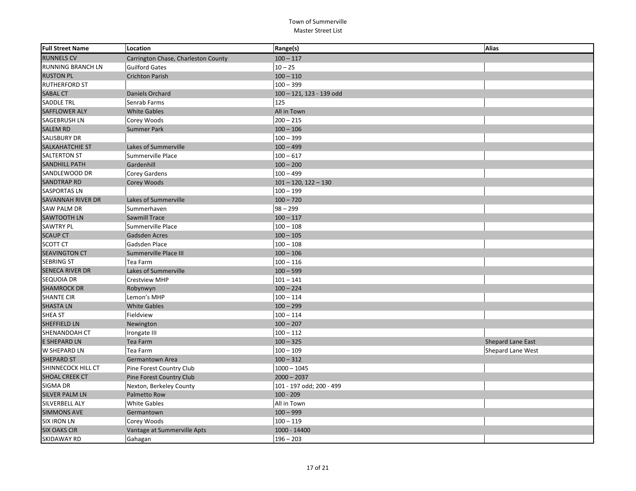| <b>Full Street Name</b>  | Location                            | Range(s)                  | Alias                    |
|--------------------------|-------------------------------------|---------------------------|--------------------------|
| <b>RUNNELS CV</b>        | Carrington Chase, Charleston County | $100 - 117$               |                          |
| <b>RUNNING BRANCH LN</b> | Guilford Gates                      | $10 - 25$                 |                          |
| <b>RUSTON PL</b>         | <b>Crichton Parish</b>              | $100 - 110$               |                          |
| <b>RUTHERFORD ST</b>     |                                     | $100 - 399$               |                          |
| <b>SABAL CT</b>          | Daniels Orchard                     | 100 - 121, 123 - 139 odd  |                          |
| <b>SADDLE TRL</b>        | Senrab Farms                        | 125                       |                          |
| <b>SAFFLOWER ALY</b>     | <b>White Gables</b>                 | All in Town               |                          |
| <b>SAGEBRUSH LN</b>      | Corey Woods                         | $200 - 215$               |                          |
| <b>SALEM RD</b>          | <b>Summer Park</b>                  | $100 - 106$               |                          |
| <b>SALISBURY DR</b>      |                                     | $100 - 399$               |                          |
| <b>SALKAHATCHIE ST</b>   | Lakes of Summerville                | $100 - 499$               |                          |
| <b>SALTERTON ST</b>      | Summerville Place                   | $100 - 617$               |                          |
| <b>SANDHILL PATH</b>     | Gardenhill                          | $100 - 200$               |                          |
| SANDLEWOOD DR            | Corey Gardens                       | $100 - 499$               |                          |
| <b>SANDTRAP RD</b>       | Corey Woods                         | $101 - 120$ , $122 - 130$ |                          |
| <b>SASPORTAS LN</b>      |                                     | $100 - 199$               |                          |
| <b>SAVANNAH RIVER DR</b> | Lakes of Summerville                | $100 - 720$               |                          |
| <b>SAW PALM DR</b>       | Summerhaven                         | $98 - 299$                |                          |
| <b>SAWTOOTH LN</b>       | Sawmill Trace                       | $100 - 117$               |                          |
| <b>SAWTRY PL</b>         | Summerville Place                   | $100 - 108$               |                          |
| <b>SCAUP CT</b>          | Gadsden Acres                       | $100 - 105$               |                          |
| <b>SCOTT CT</b>          | Gadsden Place                       | $100 - 108$               |                          |
| <b>SEAVINGTON CT</b>     | Summerville Place III               | $100 - 106$               |                          |
| <b>SEBRING ST</b>        | Tea Farm                            | $100 - 116$               |                          |
| <b>SENECA RIVER DR</b>   | Lakes of Summerville                | $100 - 599$               |                          |
| SEQUOIA DR               | <b>Crestview MHP</b>                | $101 - 141$               |                          |
| <b>SHAMROCK DR</b>       | Robynwyn                            | $100 - 224$               |                          |
| <b>SHANTE CIR</b>        | Lemon's MHP                         | $100 - 114$               |                          |
| <b>SHASTA LN</b>         | <b>White Gables</b>                 | $100 - 299$               |                          |
| <b>SHEA ST</b>           | Fieldview                           | $100 - 114$               |                          |
| <b>SHEFFIELD LN</b>      | Newington                           | $100 - 207$               |                          |
| SHENANDOAH CT            | Irongate III                        | $100 - 112$               |                          |
| <b>E SHEPARD LN</b>      | Tea Farm                            | $100 - 325$               | <b>Shepard Lane East</b> |
| <b>W SHEPARD LN</b>      | Tea Farm                            | $100 - 109$               | Shepard Lane West        |
| <b>SHEPARD ST</b>        | Germantown Area                     | $100 - 312$               |                          |
| SHINNECOCK HILL CT       | Pine Forest Country Club            | $1000 - 1045$             |                          |
| <b>SHOAL CREEK CT</b>    | Pine Forest Country Club            | $2000 - 2037$             |                          |
| SIGMA DR                 | Nexton, Berkeley County             | 101 - 197 odd; 200 - 499  |                          |
| <b>SILVER PALM LN</b>    | Palmetto Row                        | $100 - 209$               |                          |
| SILVERBELL ALY           | <b>White Gables</b>                 | All in Town               |                          |
| <b>SIMMONS AVE</b>       | Germantown                          | $100 - 999$               |                          |
| <b>SIX IRON LN</b>       | Corey Woods                         | $100 - 119$               |                          |
| <b>SIX OAKS CIR</b>      | Vantage at Summerville Apts         | 1000 - 14400              |                          |
| <b>SKIDAWAY RD</b>       | Gahagan                             | $196 - 203$               |                          |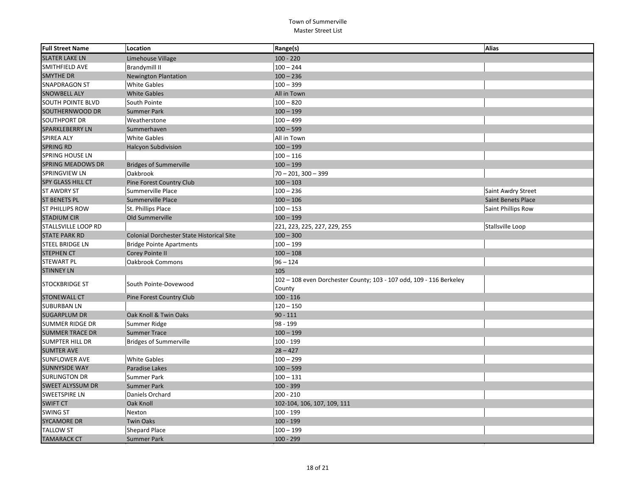| <b>Full Street Name</b>  | Location                                         | Range(s)                                                            | Alias              |
|--------------------------|--------------------------------------------------|---------------------------------------------------------------------|--------------------|
| <b>SLATER LAKE LN</b>    | Limehouse Village                                | $100 - 220$                                                         |                    |
| SMITHFIELD AVE           | <b>Brandymill II</b>                             | $100 - 244$                                                         |                    |
| <b>SMYTHE DR</b>         | <b>Newington Plantation</b>                      | $100 - 236$                                                         |                    |
| <b>SNAPDRAGON ST</b>     | White Gables                                     | $100 - 399$                                                         |                    |
| <b>SNOWBELL ALY</b>      | <b>White Gables</b>                              | All in Town                                                         |                    |
| <b>SOUTH POINTE BLVD</b> | South Pointe                                     | $100 - 820$                                                         |                    |
| SOUTHERNWOOD DR          | <b>Summer Park</b>                               | $100 - 199$                                                         |                    |
| SOUTHPORT DR             | Weatherstone                                     | $100 - 499$                                                         |                    |
| <b>SPARKLEBERRY LN</b>   | Summerhaven                                      | $100 - 599$                                                         |                    |
| SPIREA ALY               | White Gables                                     | All in Town                                                         |                    |
| <b>SPRING RD</b>         | <b>Halcyon Subdivision</b>                       | $100 - 199$                                                         |                    |
| <b>SPRING HOUSE LN</b>   |                                                  | $100 - 116$                                                         |                    |
| <b>SPRING MEADOWS DR</b> | <b>Bridges of Summerville</b>                    | $100 - 199$                                                         |                    |
| SPRINGVIEW LN            | Oakbrook                                         | $70 - 201$ , $300 - 399$                                            |                    |
| <b>SPY GLASS HILL CT</b> | Pine Forest Country Club                         | $100 - 103$                                                         |                    |
| <b>ST AWDRY ST</b>       | Summerville Place                                | $100 - 236$                                                         | Saint Awdry Street |
| <b>ST BENETS PL</b>      | Summerville Place                                | $100 - 106$                                                         | Saint Benets Place |
| <b>ST PHILLIPS ROW</b>   | St. Phillips Place                               | $100 - 153$                                                         | Saint Phillips Row |
| <b>STADIUM CIR</b>       | Old Summerville                                  | $100 - 199$                                                         |                    |
| STALLSVILLE LOOP RD      |                                                  | 221, 223, 225, 227, 229, 255                                        | Stallsville Loop   |
| <b>STATE PARK RD</b>     | <b>Colonial Dorchester State Historical Site</b> | $100 - 300$                                                         |                    |
| <b>STEEL BRIDGE LN</b>   | <b>Bridge Pointe Apartments</b>                  | $100 - 199$                                                         |                    |
| <b>STEPHEN CT</b>        | Corey Pointe II                                  | $100 - 108$                                                         |                    |
| <b>STEWART PL</b>        | Oakbrook Commons                                 | $96 - 124$                                                          |                    |
| <b>STINNEY LN</b>        |                                                  | 105                                                                 |                    |
| STOCKBRIDGE ST           | South Pointe-Dovewood                            | 102 - 108 even Dorchester County; 103 - 107 odd, 109 - 116 Berkeley |                    |
|                          |                                                  | County                                                              |                    |
| <b>STONEWALL CT</b>      | Pine Forest Country Club                         | $100 - 116$                                                         |                    |
| <b>SUBURBAN LN</b>       |                                                  | $120 - 150$                                                         |                    |
| <b>SUGARPLUM DR</b>      | Oak Knoll & Twin Oaks                            | $90 - 111$                                                          |                    |
| <b>SUMMER RIDGE DR</b>   | Summer Ridge                                     | 98 - 199                                                            |                    |
| <b>SUMMER TRACE DR</b>   | <b>Summer Trace</b>                              | $100 - 199$                                                         |                    |
| <b>SUMPTER HILL DR</b>   | <b>Bridges of Summerville</b>                    | 100 - 199                                                           |                    |
| <b>SUMTER AVE</b>        |                                                  | $28 - 427$                                                          |                    |
| <b>SUNFLOWER AVE</b>     | White Gables                                     | $100 - 299$                                                         |                    |
| <b>SUNNYSIDE WAY</b>     | <b>Paradise Lakes</b>                            | $100 - 599$                                                         |                    |
| <b>SURLINGTON DR</b>     | Summer Park                                      | $100 - 131$                                                         |                    |
| <b>SWEET ALYSSUM DR</b>  | <b>Summer Park</b>                               | $100 - 399$                                                         |                    |
| <b>SWEETSPIRE LN</b>     | Daniels Orchard                                  | 200 - 210                                                           |                    |
| <b>SWIFT CT</b>          | Oak Knoll                                        | 102-104, 106, 107, 109, 111                                         |                    |
| <b>SWING ST</b>          | Nexton                                           | 100 - 199                                                           |                    |
| <b>SYCAMORE DR</b>       | <b>Twin Oaks</b>                                 | $100 - 199$                                                         |                    |
| <b>TALLOW ST</b>         | Shepard Place                                    | $100 - 199$                                                         |                    |
| <b>TAMARACK CT</b>       | <b>Summer Park</b>                               | 100 - 299                                                           |                    |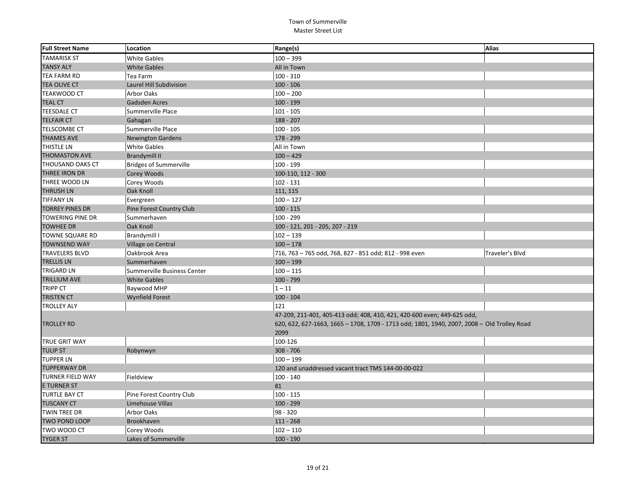| <b>Full Street Name</b> | Location                      | Range(s)                                                                                    | <b>Alias</b>    |
|-------------------------|-------------------------------|---------------------------------------------------------------------------------------------|-----------------|
| <b>TAMARISK ST</b>      | <b>White Gables</b>           | $100 - 399$                                                                                 |                 |
| <b>TANSY ALY</b>        | <b>White Gables</b>           | All in Town                                                                                 |                 |
| <b>TEA FARM RD</b>      | Tea Farm                      | $100 - 310$                                                                                 |                 |
| <b>TEA OLIVE CT</b>     | Laurel Hill Subdivision       | $100 - 106$                                                                                 |                 |
| <b>TEAKWOOD CT</b>      | Arbor Oaks                    | $100 - 200$                                                                                 |                 |
| <b>TEAL CT</b>          | Gadsden Acres                 | $100 - 199$                                                                                 |                 |
| <b>TEESDALE CT</b>      | Summerville Place             | $101 - 105$                                                                                 |                 |
| <b>TELFAIR CT</b>       | Gahagan                       | 188 - 207                                                                                   |                 |
| <b>TELSCOMBE CT</b>     | Summerville Place             | $100 - 105$                                                                                 |                 |
| <b>THAMES AVE</b>       | <b>Newington Gardens</b>      | 178 - 299                                                                                   |                 |
| <b>THISTLE LN</b>       | <b>White Gables</b>           | All in Town                                                                                 |                 |
| <b>THOMASTON AVE</b>    | <b>Brandymill II</b>          | $100 - 429$                                                                                 |                 |
| <b>THOUSAND OAKS CT</b> | <b>Bridges of Summerville</b> | 100 - 199                                                                                   |                 |
| THREE IRON DR           | Corey Woods                   | 100-110, 112 - 300                                                                          |                 |
| THREE WOOD LN           | Corey Woods                   | $102 - 131$                                                                                 |                 |
| <b>THRUSH LN</b>        | Oak Knoll                     | 111, 115                                                                                    |                 |
| <b>TIFFANY LN</b>       | Evergreen                     | $100 - 127$                                                                                 |                 |
| <b>TORREY PINES DR</b>  | Pine Forest Country Club      | $100 - 115$                                                                                 |                 |
| <b>TOWERING PINE DR</b> | Summerhaven                   | 100 - 299                                                                                   |                 |
| <b>TOWHEE DR</b>        | Oak Knoll                     | 100 - 121, 201 - 205, 207 - 219                                                             |                 |
| <b>TOWNE SQUARE RD</b>  | <b>Brandymill I</b>           | $102 - 139$                                                                                 |                 |
| <b>TOWNSEND WAY</b>     | Village on Central            | $100 - 178$                                                                                 |                 |
| <b>TRAVELERS BLVD</b>   | Oakbrook Area                 | 716, 763 - 765 odd, 768, 827 - 851 odd; 812 - 998 even                                      | Traveler's Blvd |
| <b>TRELLIS LN</b>       | Summerhaven                   | $100 - 199$                                                                                 |                 |
| <b>TRIGARD LN</b>       | Summerville Business Center   | $100 - 115$                                                                                 |                 |
| <b>TRILLIUM AVE</b>     | <b>White Gables</b>           | 100 - 799                                                                                   |                 |
| <b>TRIPP CT</b>         | <b>Baywood MHP</b>            | $1 - 11$                                                                                    |                 |
| <b>TRISTEN CT</b>       | <b>Wynfield Forest</b>        | $100 - 104$                                                                                 |                 |
| <b>TROLLEY ALY</b>      |                               | 121                                                                                         |                 |
|                         |                               | 47-209, 211-401, 405-413 odd; 408, 410, 421, 420-600 even; 449-625 odd,                     |                 |
| <b>TROLLEY RD</b>       |                               | 620, 622, 627-1663, 1665 - 1708, 1709 - 1713 odd; 1801, 1940, 2007, 2008 - Old Trolley Road |                 |
|                         |                               | 2099                                                                                        |                 |
| <b>TRUE GRIT WAY</b>    |                               | 100-126                                                                                     |                 |
| <b>TULIP ST</b>         | Robynwyn                      | $308 - 706$                                                                                 |                 |
| <b>TUPPER LN</b>        |                               | $100 - 199$                                                                                 |                 |
| <b>TUPPERWAY DR</b>     |                               | 120 and unaddressed vacant tract TMS 144-00-00-022                                          |                 |
| <b>TURNER FIELD WAY</b> | Fieldview                     | $100 - 140$                                                                                 |                 |
| <b>E TURNER ST</b>      |                               | 81                                                                                          |                 |
| <b>TURTLE BAY CT</b>    | Pine Forest Country Club      | $100 - 115$                                                                                 |                 |
| <b>TUSCANY CT</b>       | Limehouse Villas              | $100 - 299$                                                                                 |                 |
| TWIN TREE DR            | Arbor Oaks                    | 98 - 320                                                                                    |                 |
| TWO POND LOOP           | Brookhaven                    | $111 - 268$                                                                                 |                 |
| TWO WOOD CT             | Corey Woods                   | $102 - 110$                                                                                 |                 |
| <b>TYGER ST</b>         | Lakes of Summerville          | $100 - 190$                                                                                 |                 |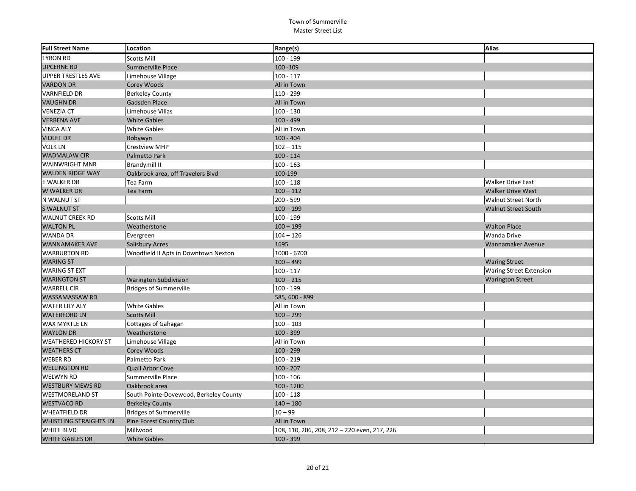| <b>Full Street Name</b>       | Location                               | Range(s)                                     | Alias                          |
|-------------------------------|----------------------------------------|----------------------------------------------|--------------------------------|
| <b>TYRON RD</b>               | <b>Scotts Mill</b>                     | 100 - 199                                    |                                |
| <b>UPCERNE RD</b>             | Summerville Place                      | 100 - 109                                    |                                |
| <b>UPPER TRESTLES AVE</b>     | Limehouse Village                      | $100 - 117$                                  |                                |
| <b>VARDON DR</b>              | Corey Woods                            | All in Town                                  |                                |
| <b>VARNFIELD DR</b>           | <b>Berkeley County</b>                 | 110 - 299                                    |                                |
| <b>VAUGHN DR</b>              | Gadsden Place                          | All in Town                                  |                                |
| <b>VENEZIA CT</b>             | Limehouse Villas                       | $100 - 130$                                  |                                |
| <b>VERBENA AVE</b>            | <b>White Gables</b>                    | $100 - 499$                                  |                                |
| <b>VINCA ALY</b>              | White Gables                           | All in Town                                  |                                |
| <b>VIOLET DR</b>              | Robywyn                                | $100 - 404$                                  |                                |
| <b>VOLK LN</b>                | <b>Crestview MHP</b>                   | $102 - 115$                                  |                                |
| <b>WADMALAW CIR</b>           | Palmetto Park                          | $100 - 114$                                  |                                |
| <b>WAINWRIGHT MNR</b>         | <b>Brandymill II</b>                   | $100 - 163$                                  |                                |
| <b>WALDEN RIDGE WAY</b>       | Oakbrook area, off Travelers Blvd      | 100-199                                      |                                |
| E WALKER DR                   | Tea Farm                               | $100 - 118$                                  | <b>Walker Drive East</b>       |
| <b>W WALKER DR</b>            | Tea Farm                               | $100 - 112$                                  | <b>Walker Drive West</b>       |
| N WALNUT ST                   |                                        | 200 - 599                                    | Walnut Street North            |
| <b>S WALNUT ST</b>            |                                        | $100 - 199$                                  | <b>Walnut Street South</b>     |
| <b>WALNUT CREEK RD</b>        | <b>Scotts Mill</b>                     | 100 - 199                                    |                                |
| <b>WALTON PL</b>              | Weatherstone                           | $100 - 199$                                  | <b>Walton Place</b>            |
| <b>WANDA DR</b>               | Evergreen                              | $104 - 126$                                  | Wanda Drive                    |
| <b>WANNAMAKER AVE</b>         | <b>Salisbury Acres</b>                 | 1695                                         | Wannamaker Avenue              |
| <b>WARBURTON RD</b>           | Woodfield II Apts in Downtown Nexton   | 1000 - 6700                                  |                                |
| <b>WARING ST</b>              |                                        | $100 - 499$                                  | <b>Waring Street</b>           |
| <b>WARING ST EXT</b>          |                                        | $100 - 117$                                  | <b>Waring Street Extension</b> |
| <b>WARINGTON ST</b>           | <b>Warington Subdivision</b>           | $100 - 215$                                  | <b>Warington Street</b>        |
| <b>WARRELL CIR</b>            | <b>Bridges of Summerville</b>          | 100 - 199                                    |                                |
| <b>WASSAMASSAW RD</b>         |                                        | 585, 600 - 899                               |                                |
| <b>WATER LILY ALY</b>         | <b>White Gables</b>                    | All in Town                                  |                                |
| <b>WATERFORD LN</b>           | <b>Scotts Mill</b>                     | $100 - 299$                                  |                                |
| WAX MYRTLE LN                 | <b>Cottages of Gahagan</b>             | $100 - 103$                                  |                                |
| <b>WAYLON DR</b>              | Weatherstone                           | $100 - 399$                                  |                                |
| <b>WEATHERED HICKORY ST</b>   | Limehouse Village                      | All in Town                                  |                                |
| <b>WEATHERS CT</b>            | Corey Woods                            | $100 - 299$                                  |                                |
| <b>WEBER RD</b>               | Palmetto Park                          | $100 - 219$                                  |                                |
| <b>WELLINGTON RD</b>          | <b>Quail Arbor Cove</b>                | $100 - 207$                                  |                                |
| <b>WELWYN RD</b>              | Summerville Place                      | $100 - 106$                                  |                                |
| <b>WESTBURY MEWS RD</b>       | Oakbrook area                          | $100 - 1200$                                 |                                |
| <b>WESTMORELAND ST</b>        | South Pointe-Dovewood, Berkeley County | $100 - 118$                                  |                                |
| <b>WESTVACO RD</b>            | <b>Berkeley County</b>                 | $140 - 180$                                  |                                |
| <b>WHEATFIELD DR</b>          | <b>Bridges of Summerville</b>          | $10 - 99$                                    |                                |
| <b>WHISTLING STRAIGHTS LN</b> | Pine Forest Country Club               | All in Town                                  |                                |
| <b>WHITE BLVD</b>             | Millwood                               | 108, 110, 206, 208, 212 - 220 even, 217, 226 |                                |
| <b>WHITE GABLES DR</b>        | <b>White Gables</b>                    | $100 - 399$                                  |                                |